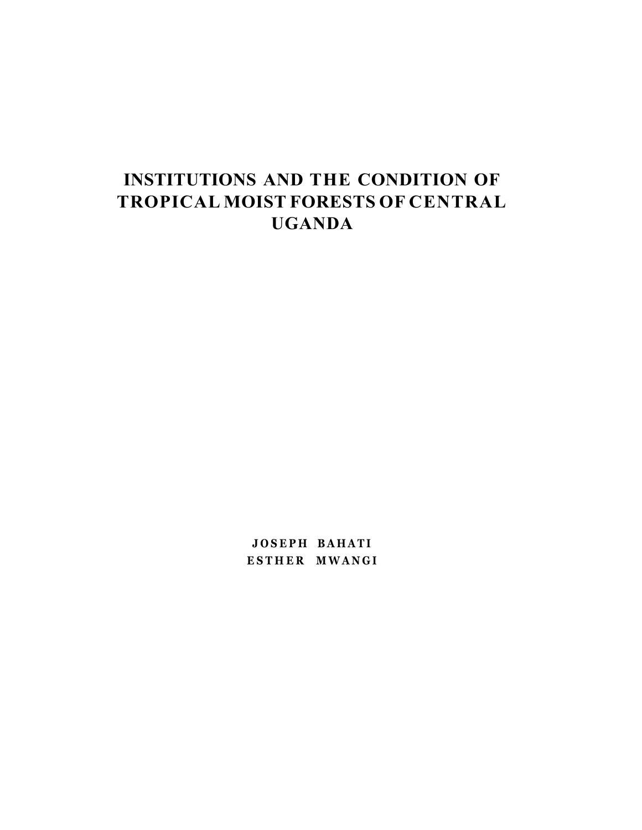# **INSTITUTIONS AND THE CONDITION OF TROPICAL MOIST FORESTS OF CENTRAL UGANDA**

**JOSEP H BAHAT I ESTHE R MWANG I**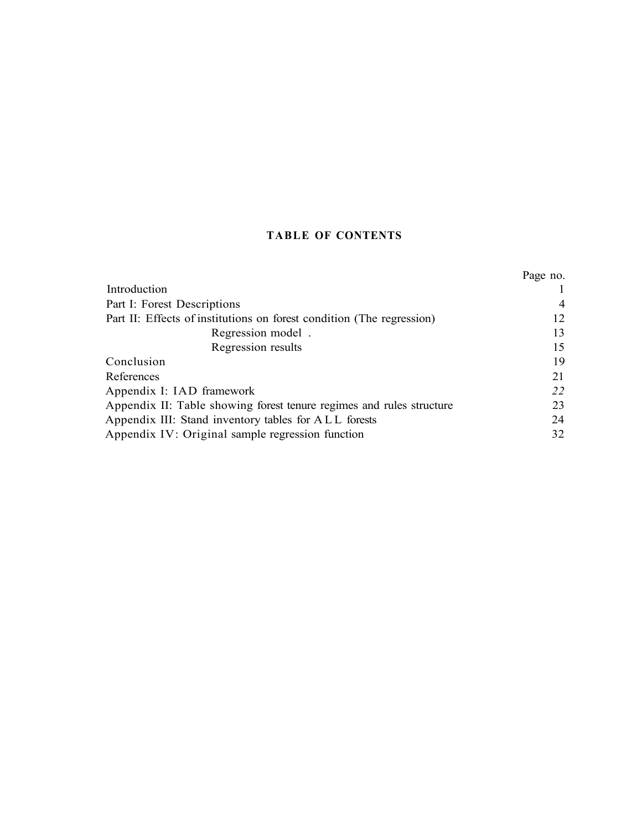## **TABLE OF CONTENTS**

|                                                                       | Page no.       |
|-----------------------------------------------------------------------|----------------|
| Introduction                                                          |                |
| Part I: Forest Descriptions                                           | $\overline{4}$ |
| Part II: Effects of institutions on forest condition (The regression) | 12             |
| Regression model.                                                     | 13             |
| Regression results                                                    | 15             |
| Conclusion                                                            | 19             |
| References                                                            | 21             |
| Appendix I: IAD framework                                             | 22             |
| Appendix II: Table showing forest tenure regimes and rules structure  | 23             |
| Appendix III: Stand inventory tables for ALL forests                  | 24             |
| Appendix IV: Original sample regression function                      | 32             |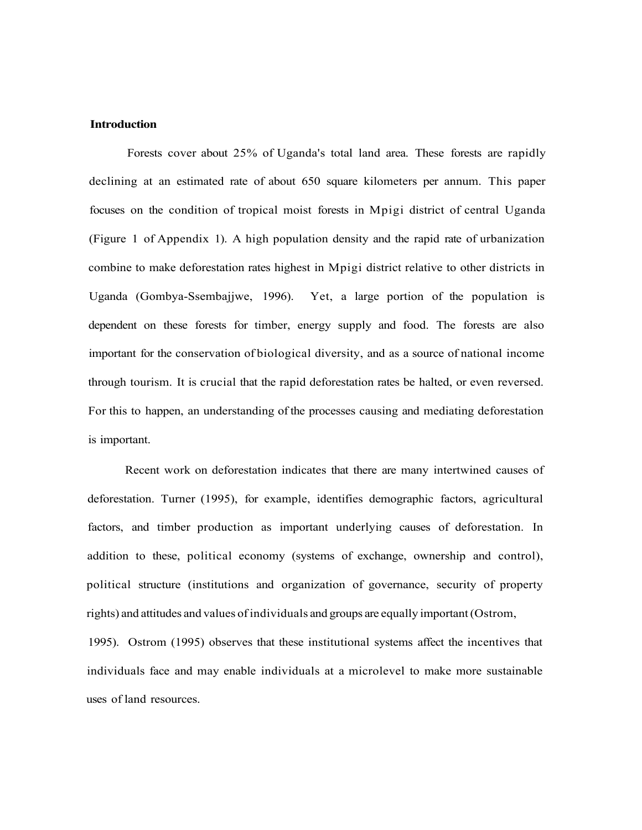#### **Introduction**

Forests cover about 25% of Uganda's total land area. These forests are rapidly declining at an estimated rate of about 650 square kilometers per annum. This paper focuses on the condition of tropical moist forests in Mpigi district of central Uganda (Figure 1 of Appendix 1). A high population density and the rapid rate of urbanization combine to make deforestation rates highest in Mpigi district relative to other districts in Uganda (Gombya-Ssembajjwe, 1996). Yet, a large portion of the population is dependent on these forests for timber, energy supply and food. The forests are also important for the conservation of biological diversity, and as a source of national income through tourism. It is crucial that the rapid deforestation rates be halted, or even reversed. For this to happen, an understanding of the processes causing and mediating deforestation is important.

Recent work on deforestation indicates that there are many intertwined causes of deforestation. Turner (1995), for example, identifies demographic factors, agricultural factors, and timber production as important underlying causes of deforestation. In addition to these, political economy (systems of exchange, ownership and control), political structure (institutions and organization of governance, security of property rights) and attitudes and values of individuals and groups are equally important (Ostrom,

1995). Ostrom (1995) observes that these institutional systems affect the incentives that individuals face and may enable individuals at a microlevel to make more sustainable uses of land resources.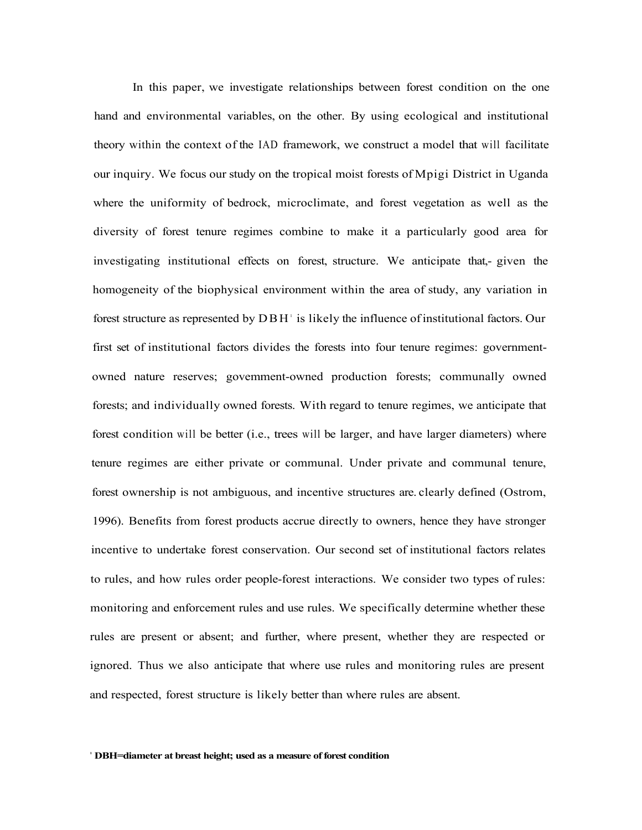In this paper, we investigate relationships between forest condition on the one hand and environmental variables, on the other. By using ecological and institutional theory within the context of the IAD framework, we construct a model that will facilitate our inquiry. We focus our study on the tropical moist forests of Mpigi District in Uganda where the uniformity of bedrock, microclimate, and forest vegetation as well as the diversity of forest tenure regimes combine to make it a particularly good area for investigating institutional effects on forest, structure. We anticipate that,- given the homogeneity of the biophysical environment within the area of study, any variation in forest structure as represented by DBH<sup>1</sup> is likely the influence of institutional factors. Our first set of institutional factors divides the forests into four tenure regimes: governmentowned nature reserves; govemment-owned production forests; communally owned forests; and individually owned forests. With regard to tenure regimes, we anticipate that forest condition will be better (i.e., trees will be larger, and have larger diameters) where tenure regimes are either private or communal. Under private and communal tenure, forest ownership is not ambiguous, and incentive structures are. clearly defined (Ostrom, 1996). Benefits from forest products accrue directly to owners, hence they have stronger incentive to undertake forest conservation. Our second set of institutional factors relates to rules, and how rules order people-forest interactions. We consider two types of rules: monitoring and enforcement rules and use rules. We specifically determine whether these rules are present or absent; and further, where present, whether they are respected or ignored. Thus we also anticipate that where use rules and monitoring rules are present and respected, forest structure is likely better than where rules are absent.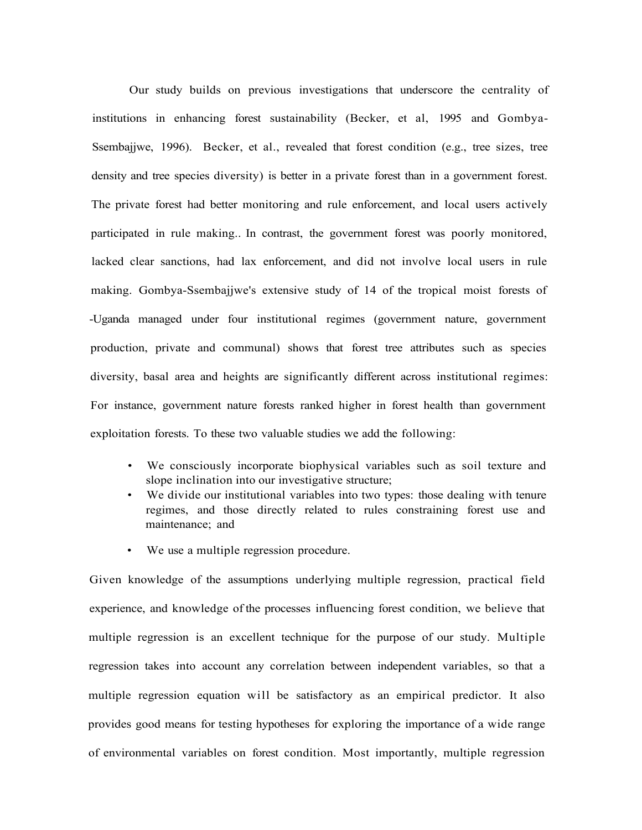Our study builds on previous investigations that underscore the centrality of institutions in enhancing forest sustainability (Becker, et al, 1995 and Gombya-Ssembajjwe, 1996). Becker, et al., revealed that forest condition (e.g., tree sizes, tree density and tree species diversity) is better in a private forest than in a government forest. The private forest had better monitoring and rule enforcement, and local users actively participated in rule making.. In contrast, the government forest was poorly monitored, lacked clear sanctions, had lax enforcement, and did not involve local users in rule making. Gombya-Ssembajjwe's extensive study of 14 of the tropical moist forests of -Uganda managed under four institutional regimes (government nature, government production, private and communal) shows that forest tree attributes such as species diversity, basal area and heights are significantly different across institutional regimes: For instance, government nature forests ranked higher in forest health than government exploitation forests. To these two valuable studies we add the following:

- We consciously incorporate biophysical variables such as soil texture and slope inclination into our investigative structure;
- We divide our institutional variables into two types: those dealing with tenure regimes, and those directly related to rules constraining forest use and maintenance; and
- We use a multiple regression procedure.

Given knowledge of the assumptions underlying multiple regression, practical field experience, and knowledge of the processes influencing forest condition, we believe that multiple regression is an excellent technique for the purpose of our study. Multiple regression takes into account any correlation between independent variables, so that a multiple regression equation will be satisfactory as an empirical predictor. It also provides good means for testing hypotheses for exploring the importance of a wide range of environmental variables on forest condition. Most importantly, multiple regression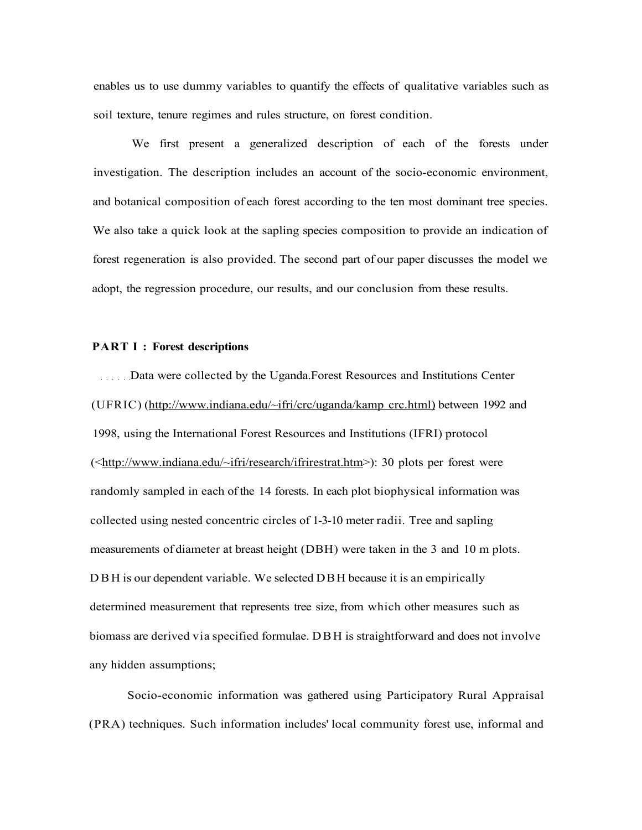enables us to use dummy variables to quantify the effects of qualitative variables such as soil texture, tenure regimes and rules structure, on forest condition.

We first present a generalized description of each of the forests under investigation. The description includes an account of the socio-economic environment, and botanical composition of each forest according to the ten most dominant tree species. We also take a quick look at the sapling species composition to provide an indication of forest regeneration is also provided. The second part of our paper discusses the model we adopt, the regression procedure, our results, and our conclusion from these results.

#### **PART I : Forest descriptions**

Data were collected by the Uganda.Forest Resources and Institutions Center (UFRIC) ([http://www.indiana.edu/~ifri/crc/uganda/kamp c](http://www.indiana.edu/~ifri/crc/uganda/kamp)rc.html) between 1992 and 1998, using the International Forest Resources and Institutions (IFRI) protocol ([<http://www.indiana.edu/~ifri/research/ifrirestrat.htm>](http://www.indiana.edu/~ifri/research/ifrirestrat.htm)): 30 plots per forest were randomly sampled in each of the 14 forests. In each plot biophysical information was collected using nested concentric circles of 1-3-10 meter radii. Tree and sapling measurements of diameter at breast height (DBH) were taken in the 3 and 10 m plots. D B H is our dependent variable. We selected DBH because it is an empirically determined measurement that represents tree size, from which other measures such as biomass are derived via specified formulae. DBH is straightforward and does not involve any hidden assumptions;

Socio-economic information was gathered using Participatory Rural Appraisal (PRA) techniques. Such information includes' local community forest use, informal and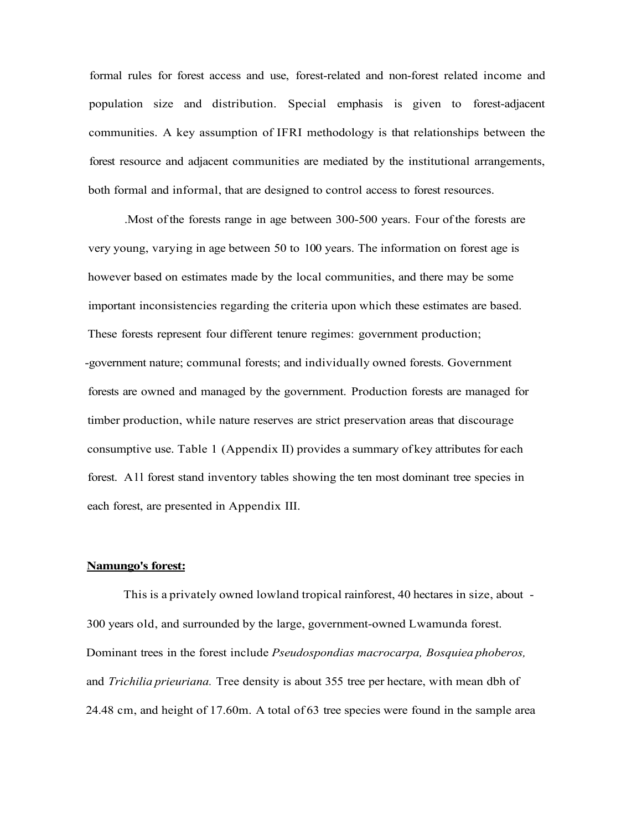formal rules for forest access and use, forest-related and non-forest related income and population size and distribution. Special emphasis is given to forest-adjacent communities. A key assumption of IFRI methodology is that relationships between the forest resource and adjacent communities are mediated by the institutional arrangements, both formal and informal, that are designed to control access to forest resources.

.Most of the forests range in age between 300-500 years. Four of the forests are very young, varying in age between 50 to 100 years. The information on forest age is however based on estimates made by the local communities, and there may be some important inconsistencies regarding the criteria upon which these estimates are based. These forests represent four different tenure regimes: government production; -government nature; communal forests; and individually owned forests. Government forests are owned and managed by the government. Production forests are managed for timber production, while nature reserves are strict preservation areas that discourage consumptive use. Table 1 (Appendix II) provides a summary of key attributes for each forest. All forest stand inventory tables showing the ten most dominant tree species in each forest, are presented in Appendix III.

#### **Namungo's forest:**

This is a privately owned lowland tropical rainforest, 40 hectares in size, about - 300 years old, and surrounded by the large, government-owned Lwamunda forest. Dominant trees in the forest include *Pseudospondias macrocarpa, Bosquiea phoberos,*  and *Trichilia prieuriana.* Tree density is about 355 tree per hectare, with mean dbh of 24.48 cm, and height of 17.60m. A total of 63 tree species were found in the sample area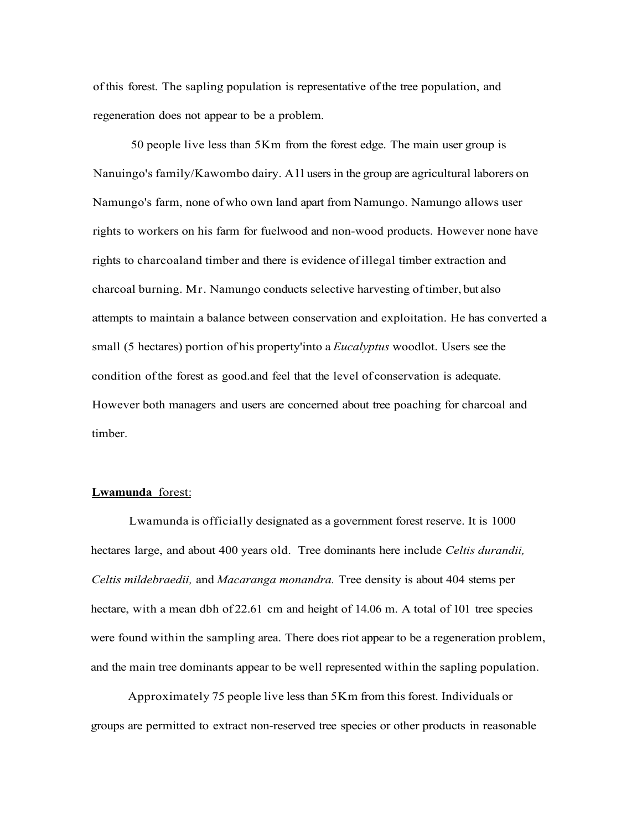of this forest. The sapling population is representative of the tree population, and regeneration does not appear to be a problem.

50 people live less than 5Km from the forest edge. The main user group is Nanuingo's family/Kawombo dairy. All users in the group are agricultural laborers on Namungo's farm, none of who own land apart from Namungo. Namungo allows user rights to workers on his farm for fuelwood and non-wood products. However none have rights to charcoaland timber and there is evidence of illegal timber extraction and charcoal burning. Mr. Namungo conducts selective harvesting of timber, but also attempts to maintain a balance between conservation and exploitation. He has converted a small (5 hectares) portion of his property'into a *Eucalyptus* woodlot. Users see the condition of the forest as good.and feel that the level of conservation is adequate. However both managers and users are concerned about tree poaching for charcoal and timber.

#### **Lwamunda** forest:

Lwamunda is officially designated as a government forest reserve. It is 1000 hectares large, and about 400 years old. Tree dominants here include *Celtis durandii, Celtis mildebraedii,* and *Macaranga monandra.* Tree density is about 404 stems per hectare, with a mean dbh of 22.61 cm and height of 14.06 m. A total of 101 tree species were found within the sampling area. There does riot appear to be a regeneration problem, and the main tree dominants appear to be well represented within the sapling population.

Approximately 75 people live less than 5Km from this forest. Individuals or groups are permitted to extract non-reserved tree species or other products in reasonable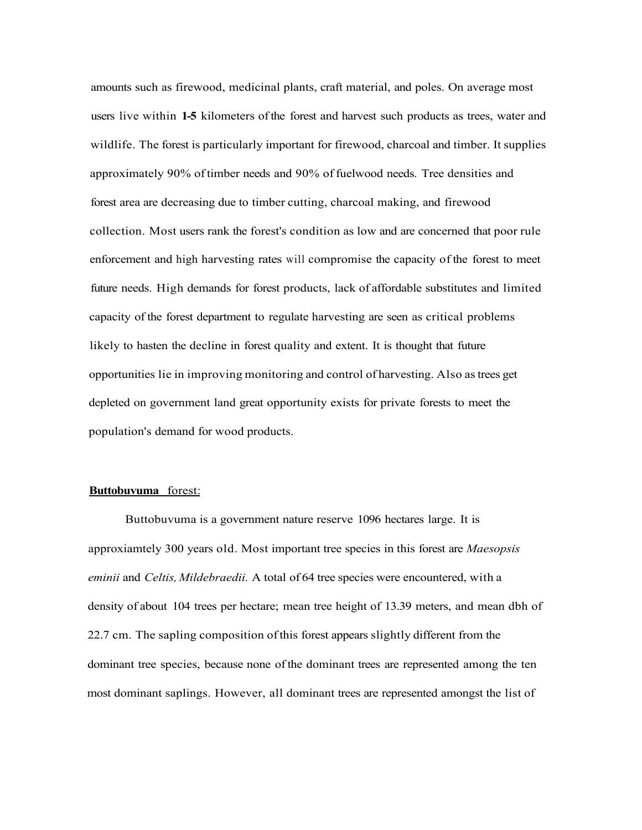amounts such as firewood, medicinal plants, craft material, and poles. On average most users live within **1-5** kilometers of the forest and harvest such products as trees, water and wildlife. The forest is particularly important for firewood, charcoal and timber. It supplies approximately 90% of timber needs and 90% of fuelwood needs. Tree densities and forest area are decreasing due to timber cutting, charcoal making, and firewood collection. Most users rank the forest's condition as low and are concerned that poor rule enforcement and high harvesting rates will compromise the capacity of the forest to meet future needs. High demands for forest products, lack of affordable substitutes and limited capacity of the forest department to regulate harvesting are seen as critical problems likely to hasten the decline in forest quality and extent. It is thought that future opportunities lie in improving monitoring and control of harvesting. Also as trees get depleted on government land great opportunity exists for private forests to meet the population's demand for wood products.

#### **Buttobuvuma** forest:

Buttobuvuma is a government nature reserve 1096 hectares large. It is approxiamtely 300 years old. Most important tree species in this forest are *Maesopsis eminii* and *Celtis, Mildebraedii.* A total of 64 tree species were encountered, with a density of about 104 trees per hectare; mean tree height of 13.39 meters, and mean dbh of 22.7 cm. The sapling composition of this forest appears slightly different from the dominant tree species, because none of the dominant trees are represented among the ten most dominant saplings. However, all dominant trees are represented amongst the list of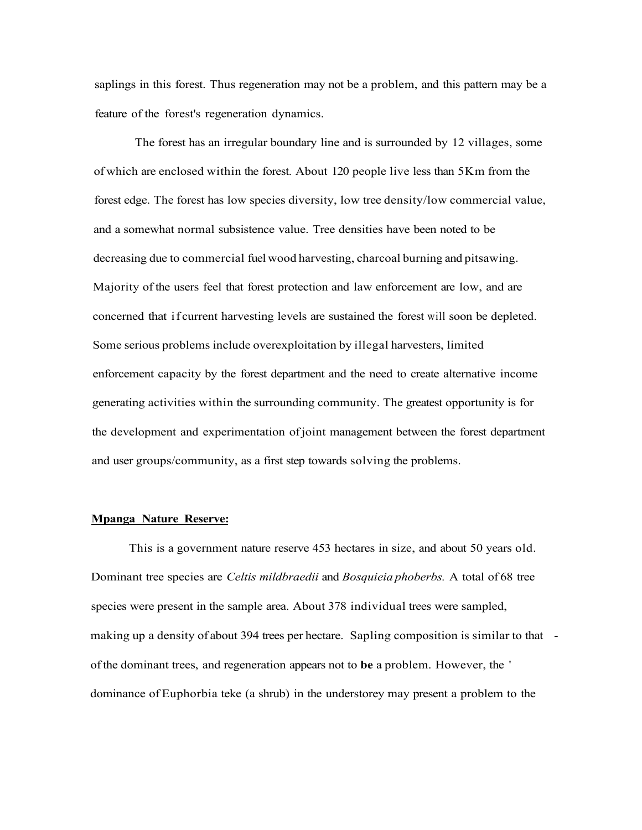saplings in this forest. Thus regeneration may not be a problem, and this pattern may be a feature of the forest's regeneration dynamics.

The forest has an irregular boundary line and is surrounded by 12 villages, some of which are enclosed within the forest. About 120 people live less than 5Km from the forest edge. The forest has low species diversity, low tree density/low commercial value, and a somewhat normal subsistence value. Tree densities have been noted to be decreasing due to commercial fuel wood harvesting, charcoal burning and pitsawing. Majority of the users feel that forest protection and law enforcement are low, and are concerned that if current harvesting levels are sustained the forest will soon be depleted. Some serious problems include overexploitation by illegal harvesters, limited enforcement capacity by the forest department and the need to create alternative income generating activities within the surrounding community. The greatest opportunity is for the development and experimentation of joint management between the forest department and user groups/community, as a first step towards solving the problems.

### **Mpanga Nature Reserve:**

This is a government nature reserve 453 hectares in size, and about 50 years old. Dominant tree species are *Celtis mildbraedii* and *Bosquieia phoberbs.* A total of 68 tree species were present in the sample area. About 378 individual trees were sampled, making up a density of about 394 trees per hectare. Sapling composition is similar to that of the dominant trees, and regeneration appears not to **be** a problem. However, the ' dominance of Euphorbia teke (a shrub) in the understorey may present a problem to the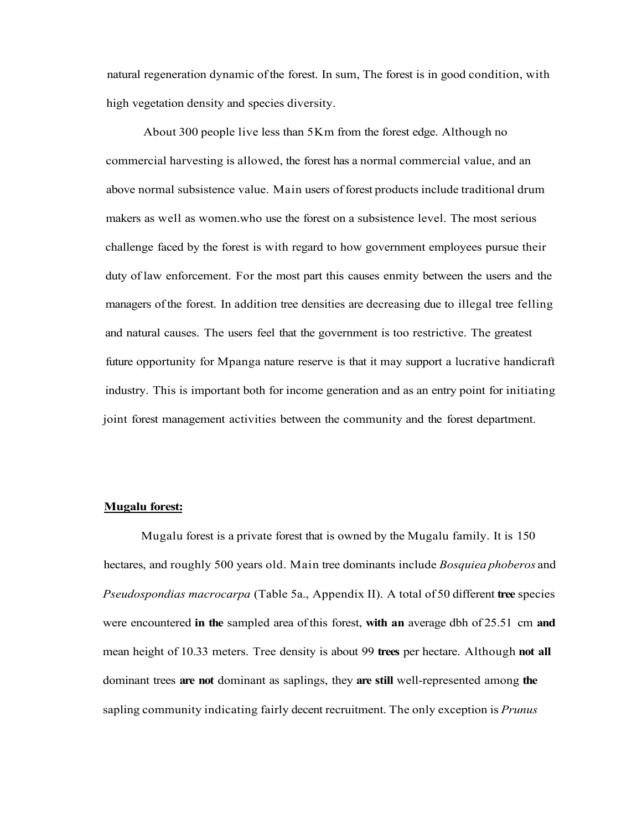natural regeneration dynamic of the forest. In sum, The forest is in good condition, with high vegetation density and species diversity.

About 300 people live less than 5Km from the forest edge. Although no commercial harvesting is allowed, the forest has a normal commercial value, and an above normal subsistence value. Main users of forest products include traditional drum makers as well as women.who use the forest on a subsistence level. The most serious challenge faced by the forest is with regard to how government employees pursue their duty of law enforcement. For the most part this causes enmity between the users and the managers of the forest. In addition tree densities are decreasing due to illegal tree felling and natural causes. The users feel that the government is too restrictive. The greatest future opportunity for Mpanga nature reserve is that it may support a lucrative handicraft industry. This is important both for income generation and as an entry point for initiating joint forest management activities between the community and the forest department.

### **Mugalu forest:**

Mugalu forest is a private forest that is owned by the Mugalu family. It is 150 hectares, and roughly 500 years old. Main tree dominants include *Bosquiea phoberos* and *Pseudospondias macrocarpa* (Table 5a., Appendix II). A total of 50 different **tree** species were encountered **in the** sampled area of this forest, **with an** average dbh of 25.51 cm **and**  mean height of 10.33 meters. Tree density is about 99 **trees** per hectare. Although **not all**  dominant trees **are not** dominant as saplings, they **are still** well-represented among **the**  sapling community indicating fairly decent recruitment. The only exception is *Prunus*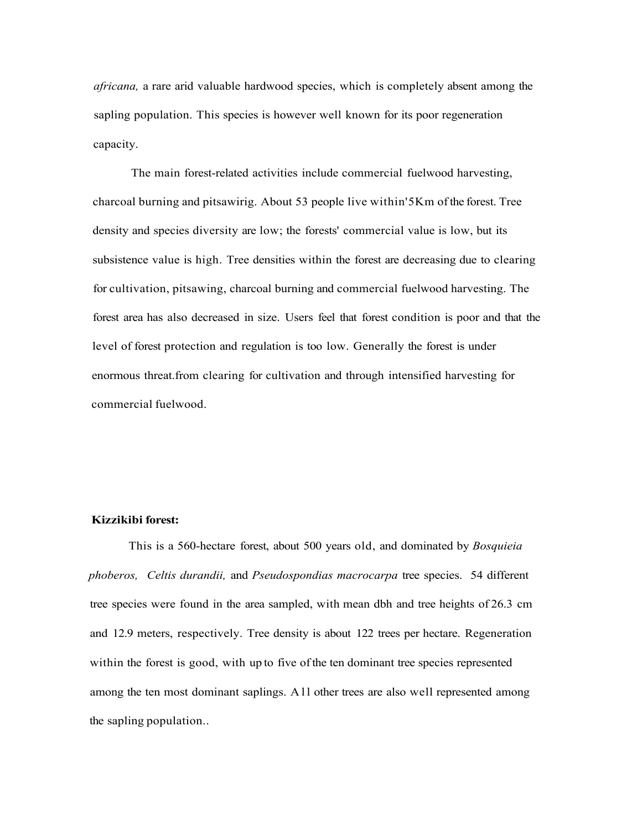*africana,* a rare arid valuable hardwood species, which is completely absent among the sapling population. This species is however well known for its poor regeneration capacity.

The main forest-related activities include commercial fuelwood harvesting, charcoal burning and pitsawirig. About 53 people live within'5Km of the forest. Tree density and species diversity are low; the forests' commercial value is low, but its subsistence value is high. Tree densities within the forest are decreasing due to clearing for cultivation, pitsawing, charcoal burning and commercial fuelwood harvesting. The forest area has also decreased in size. Users feel that forest condition is poor and that the level of forest protection and regulation is too low. Generally the forest is under enormous threat.from clearing for cultivation and through intensified harvesting for commercial fuelwood.

### **Kizzikibi forest:**

This is a 560-hectare forest, about 500 years old, and dominated by *Bosquieia phoberos, Celtis durandii,* and *Pseudospondias macrocarpa* tree species. 54 different tree species were found in the area sampled, with mean dbh and tree heights of 26.3 cm and 12.9 meters, respectively. Tree density is about 122 trees per hectare. Regeneration within the forest is good, with up to five of the ten dominant tree species represented among the ten most dominant saplings. All other trees are also well represented among the sapling population..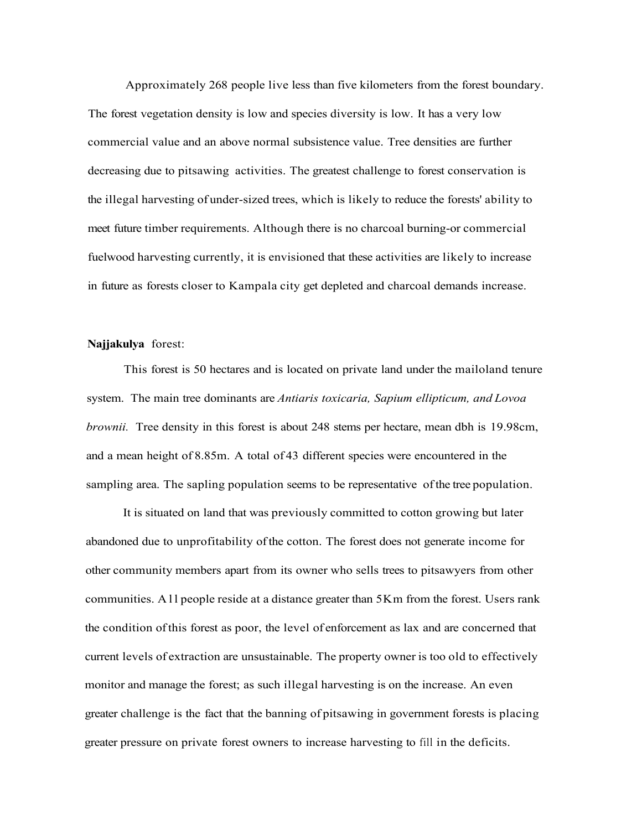Approximately 268 people live less than five kilometers from the forest boundary. The forest vegetation density is low and species diversity is low. It has a very low commercial value and an above normal subsistence value. Tree densities are further decreasing due to pitsawing activities. The greatest challenge to forest conservation is the illegal harvesting of under-sized trees, which is likely to reduce the forests' ability to meet future timber requirements. Although there is no charcoal burning-or commercial fuelwood harvesting currently, it is envisioned that these activities are likely to increase in future as forests closer to Kampala city get depleted and charcoal demands increase.

#### **Najjakulya** forest:

This forest is 50 hectares and is located on private land under the mailoland tenure system. The main tree dominants are *Antiaris toxicaria, Sapium ellipticum, and Lovoa brownii.* Tree density in this forest is about 248 stems per hectare, mean dbh is 19.98cm, and a mean height of 8.85m. A total of 43 different species were encountered in the sampling area. The sapling population seems to be representative of the tree population.

It is situated on land that was previously committed to cotton growing but later abandoned due to unprofitability of the cotton. The forest does not generate income for other community members apart from its owner who sells trees to pitsawyers from other communities. Al l people reside at a distance greater than 5Km from the forest. Users rank the condition of this forest as poor, the level of enforcement as lax and are concerned that current levels of extraction are unsustainable. The property owner is too old to effectively monitor and manage the forest; as such illegal harvesting is on the increase. An even greater challenge is the fact that the banning of pitsawing in government forests is placing greater pressure on private forest owners to increase harvesting to fill in the deficits.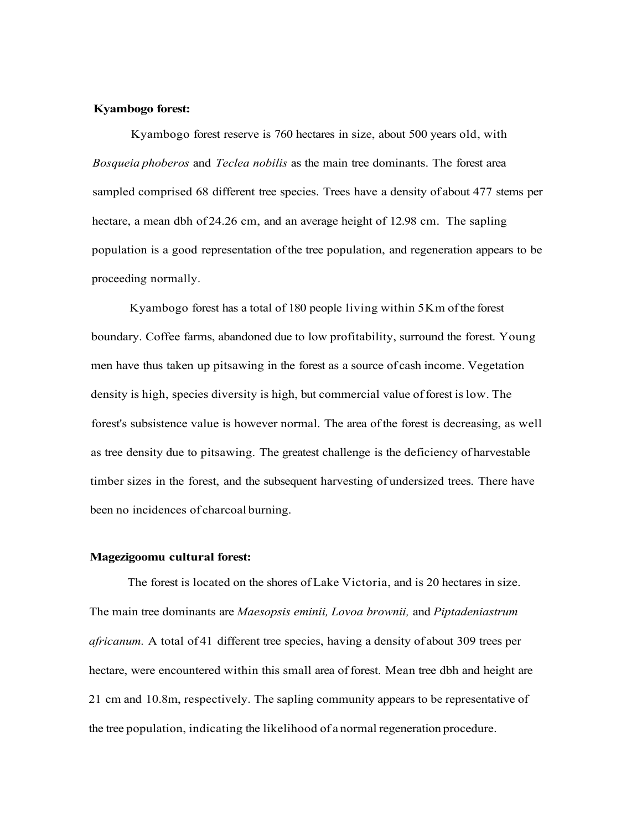#### **Kyambogo forest:**

Kyambogo forest reserve is 760 hectares in size, about 500 years old, with *Bosqueia phoberos* and *Teclea nobilis* as the main tree dominants. The forest area sampled comprised 68 different tree species. Trees have a density of about 477 stems per hectare, a mean dbh of 24.26 cm, and an average height of 12.98 cm. The sapling population is a good representation of the tree population, and regeneration appears to be proceeding normally.

Kyambogo forest has a total of 180 people living within 5Km of the forest boundary. Coffee farms, abandoned due to low profitability, surround the forest. Young men have thus taken up pitsawing in the forest as a source of cash income. Vegetation density is high, species diversity is high, but commercial value of forest is low. The forest's subsistence value is however normal. The area of the forest is decreasing, as well as tree density due to pitsawing. The greatest challenge is the deficiency of harvestable timber sizes in the forest, and the subsequent harvesting of undersized trees. There have been no incidences of charcoal burning.

#### **Magezigoomu cultural forest:**

The forest is located on the shores of Lake Victoria, and is 20 hectares in size. The main tree dominants are *Maesopsis eminii, Lovoa brownii,* and *Piptadeniastrum africanum.* A total of 41 different tree species, having a density of about 309 trees per hectare, were encountered within this small area of forest. Mean tree dbh and height are 21 cm and 10.8m, respectively. The sapling community appears to be representative of the tree population, indicating the likelihood of a normal regeneration procedure.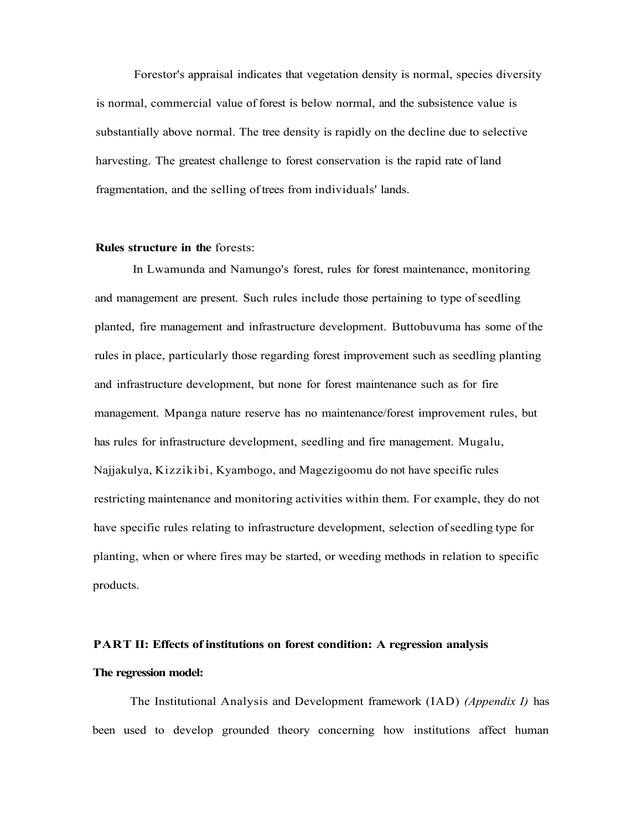Forestor's appraisal indicates that vegetation density is normal, species diversity is normal, commercial value of forest is below normal, and the subsistence value is substantially above normal. The tree density is rapidly on the decline due to selective harvesting. The greatest challenge to forest conservation is the rapid rate of land fragmentation, and the selling of trees from individuals' lands.

#### **Rules structure in the** forests:

In Lwamunda and Namungo's forest, rules for forest maintenance, monitoring and management are present. Such rules include those pertaining to type of seedling planted, fire management and infrastructure development. Buttobuvuma has some of the rules in place, particularly those regarding forest improvement such as seedling planting and infrastructure development, but none for forest maintenance such as for fire management. Mpanga nature reserve has no maintenance/forest improvement rules, but has rules for infrastructure development, seedling and fire management. Mugalu, Najjakulya, Kizzikibi, Kyambogo, and Magezigoomu do not have specific rules restricting maintenance and monitoring activities within them. For example, they do not have specific rules relating to infrastructure development, selection of seedling type for planting, when or where fires may be started, or weeding methods in relation to specific products.

# **PART II: Effects of institutions on forest condition: A regression analysis The regression model:**

The Institutional Analysis and Development framework (IAD) *(Appendix I)* has been used to develop grounded theory concerning how institutions affect human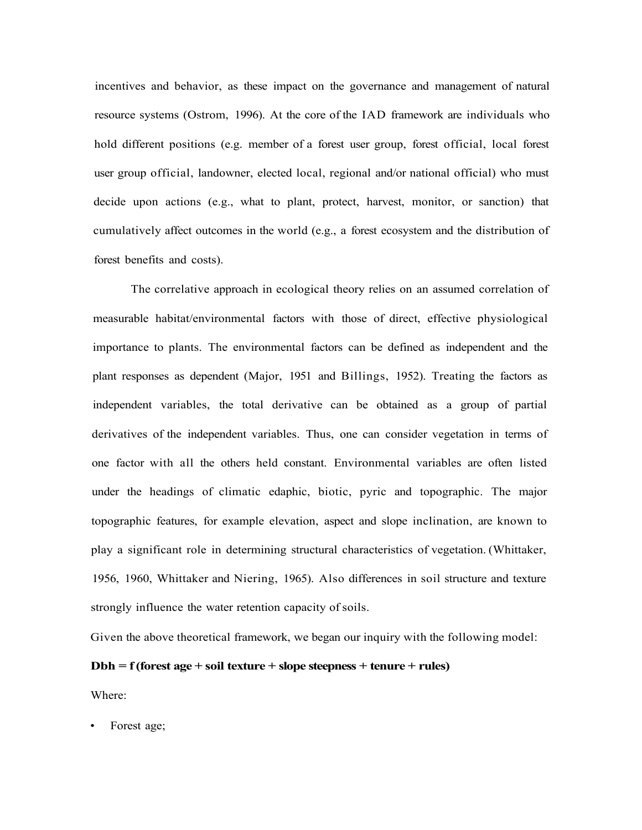incentives and behavior, as these impact on the governance and management of natural resource systems (Ostrom, 1996). At the core of the IAD framework are individuals who hold different positions (e.g. member of a forest user group, forest official, local forest user group official, landowner, elected local, regional and/or national official) who must decide upon actions (e.g., what to plant, protect, harvest, monitor, or sanction) that cumulatively affect outcomes in the world (e.g., a forest ecosystem and the distribution of forest benefits and costs).

The correlative approach in ecological theory relies on an assumed correlation of measurable habitat/environmental factors with those of direct, effective physiological importance to plants. The environmental factors can be defined as independent and the plant responses as dependent (Major, 1951 and Billings, 1952). Treating the factors as independent variables, the total derivative can be obtained as a group of partial derivatives of the independent variables. Thus, one can consider vegetation in terms of one factor with all the others held constant. Environmental variables are often listed under the headings of climatic edaphic, biotic, pyric and topographic. The major topographic features, for example elevation, aspect and slope inclination, are known to play a significant role in determining structural characteristics of vegetation. (Whittaker, 1956, 1960, Whittaker and Niering, 1965). Also differences in soil structure and texture strongly influence the water retention capacity of soils.

Given the above theoretical framework, we began our inquiry with the following model:

### **Dbh = f (forest age + soil texture + slope steepness + tenure + rules)**

Where:

Forest age;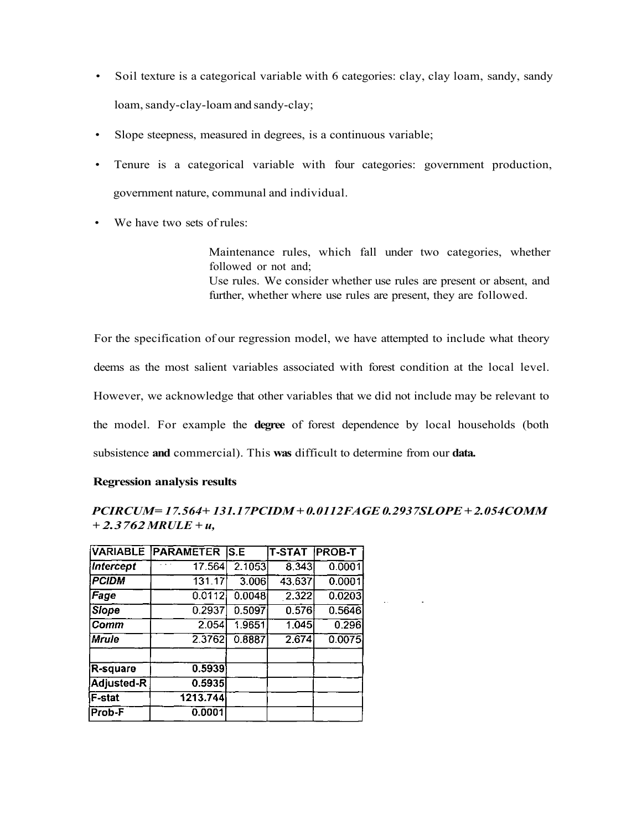- Soil texture is a categorical variable with 6 categories: clay, clay loam, sandy, sandy loam, sandy-clay-loam and sandy-clay;
- Slope steepness, measured in degrees, is a continuous variable;
- Tenure is a categorical variable with four categories: government production, government nature, communal and individual.
- We have two sets of rules:

Maintenance rules, which fall under two categories, whether followed or not and; Use rules. We consider whether use rules are present or absent, and further, whether where use rules are present, they are followed.

For the specification of our regression model, we have attempted to include what theory deems as the most salient variables associated with forest condition at the local level. However, we acknowledge that other variables that we did not include may be relevant to the model. For example the **degree** of forest dependence by local households (both subsistence **and** commercial). This **was** difficult to determine from our **data.** 

### **Regression analysis results**

## *PCIRCUM= 17.564+ 131.17PCIDM + 0.0112FAGE 0.2937SLOPE + 2.054COMM + 2.3762 MRULE + u,*

|                  | <b>VARIABLE PARAMETER</b> | $\overline{\mathsf{S}.\mathsf{E}}$ | <b>T-STAT PROB-T</b> |        |
|------------------|---------------------------|------------------------------------|----------------------|--------|
| <b>Intercept</b> | 17.564                    | 2.1053                             | 8.343                | 0.0001 |
| <b>PCIDM</b>     | 131.17                    | 3.006                              | 43,637               | 0.0001 |
| Fage             | 0.0112                    | 0.0048                             | 2.322                | 0.0203 |
| <b>Slope</b>     | 0.2937                    | 0.5097                             | 0.576                | 0.5646 |
| Comm             | 2.054                     | 1.9651                             | 1.045                | 0.296  |
| Mrule)           | 2.3762                    | 0.8887                             | 2.674                | 0.0075 |
| R-square         | 0.5939                    |                                    |                      |        |
| Adjusted-R       | 0.5935                    |                                    |                      |        |
| F-stat           | 1213.744                  |                                    |                      |        |
| Prob-F           | 0.0001                    |                                    |                      |        |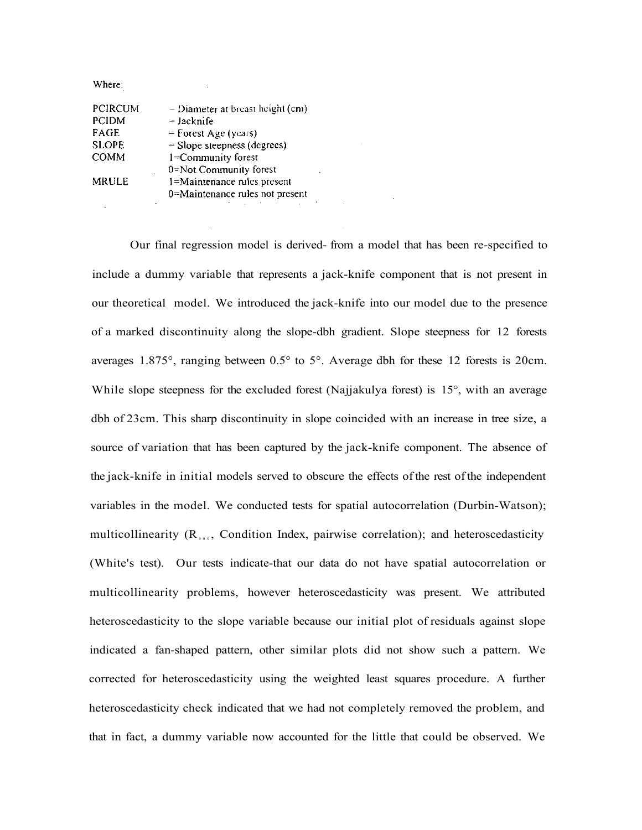Where:

| PCIRCUM      | $-$ Diameter at breast height (cm) |  |
|--------------|------------------------------------|--|
| <b>PCIDM</b> | $=$ Jacknife                       |  |
| FAGE         | $=$ Forest Age (years)             |  |
| <b>SLOPE</b> | $=$ Slope steepness (degrees)      |  |
| <b>COMM</b>  | 1=Community forest                 |  |
|              | 0=Not.Community forest             |  |
| <b>MRULE</b> | l=Maintenance rules present        |  |
|              | 0=Maintenance rules not present    |  |
|              |                                    |  |

Our final regression model is derived- from a model that has been re-specified to include a dummy variable that represents a jack-knife component that is not present in our theoretical model. We introduced the jack-knife into our model due to the presence of a marked discontinuity along the slope-dbh gradient. Slope steepness for 12 forests averages 1.875°, ranging between 0.5° to 5°. Average dbh for these 12 forests is 20cm. While slope steepness for the excluded forest (Najjakulya forest) is 15<sup>°</sup>, with an average dbh of 23cm. This sharp discontinuity in slope coincided with an increase in tree size, a source of variation that has been captured by the jack-knife component. The absence of the jack-knife in initial models served to obscure the effects of the rest of the independent variables in the model. We conducted tests for spatial autocorrelation (Durbin-Watson); multicollinearity  $(R_{\text{aux}})$ , Condition Index, pairwise correlation); and heteroscedasticity (White's test). Our tests indicate-that our data do not have spatial autocorrelation or multicollinearity problems, however heteroscedasticity was present. We attributed heteroscedasticity to the slope variable because our initial plot of residuals against slope indicated a fan-shaped pattern, other similar plots did not show such a pattern. We corrected for heteroscedasticity using the weighted least squares procedure. A further heteroscedasticity check indicated that we had not completely removed the problem, and that in fact, a dummy variable now accounted for the little that could be observed. We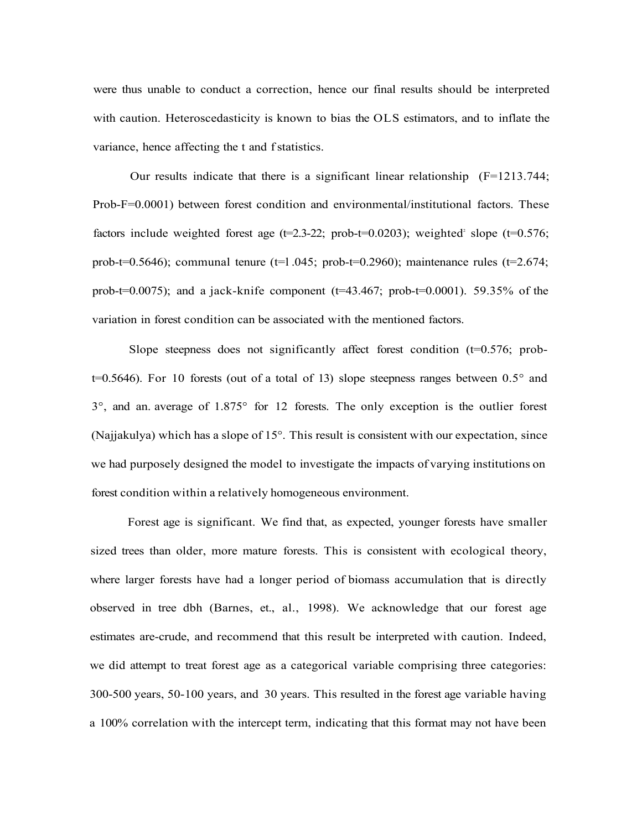were thus unable to conduct a correction, hence our final results should be interpreted with caution. Heteroscedasticity is known to bias the OLS estimators, and to inflate the variance, hence affecting the t and f statistics.

Our results indicate that there is a significant linear relationship  $(F=1213.744)$ ; Prob-F=0.0001) between forest condition and environmental/institutional factors. These factors include weighted forest age  $(t=2.3-22;$  prob-t=0.0203); weighted slope  $(t=0.576;$ prob-t=0.5646); communal tenure (t=1.045; prob-t=0.2960); maintenance rules (t=2.674; prob-t=0.0075); and a jack-knife component  $(t=43.467;$  prob-t=0.0001). 59.35% of the variation in forest condition can be associated with the mentioned factors.

Slope steepness does not significantly affect forest condition  $(t=0.576;$  prob $t=0.5646$ ). For 10 forests (out of a total of 13) slope steepness ranges between  $0.5^{\circ}$  and 3°, and an. average of 1.875° for 12 forests. The only exception is the outlier forest (Najjakulya) which has a slope of 15°. This result is consistent with our expectation, since we had purposely designed the model to investigate the impacts of varying institutions on forest condition within a relatively homogeneous environment.

Forest age is significant. We find that, as expected, younger forests have smaller sized trees than older, more mature forests. This is consistent with ecological theory, where larger forests have had a longer period of biomass accumulation that is directly observed in tree dbh (Barnes, et., al., 1998). We acknowledge that our forest age estimates are-crude, and recommend that this result be interpreted with caution. Indeed, we did attempt to treat forest age as a categorical variable comprising three categories: 300-500 years, 50-100 years, and 30 years. This resulted in the forest age variable having a 100% correlation with the intercept term, indicating that this format may not have been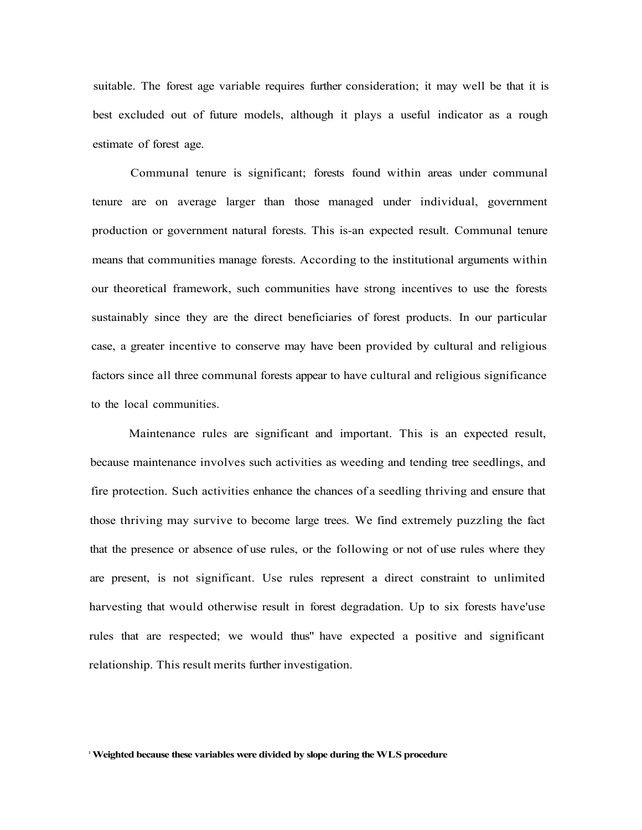suitable. The forest age variable requires further consideration; it may well be that it is best excluded out of future models, although it plays a useful indicator as a rough estimate of forest age.

Communal tenure is significant; forests found within areas under communal tenure are on average larger than those managed under individual, government production or government natural forests. This is-an expected result. Communal tenure means that communities manage forests. According to the institutional arguments within our theoretical framework, such communities have strong incentives to use the forests sustainably since they are the direct beneficiaries of forest products. In our particular case, a greater incentive to conserve may have been provided by cultural and religious factors since all three communal forests appear to have cultural and religious significance to the local communities.

Maintenance rules are significant and important. This is an expected result, because maintenance involves such activities as weeding and tending tree seedlings, and fire protection. Such activities enhance the chances of a seedling thriving and ensure that those thriving may survive to become large trees. We find extremely puzzling the fact that the presence or absence of use rules, or the following or not of use rules where they are present, is not significant. Use rules represent a direct constraint to unlimited harvesting that would otherwise result in forest degradation. Up to six forests have'use rules that are respected; we would thus" have expected a positive and significant relationship. This result merits further investigation.

**2 Weighted because these variables were divided by slope during the WLS procedure**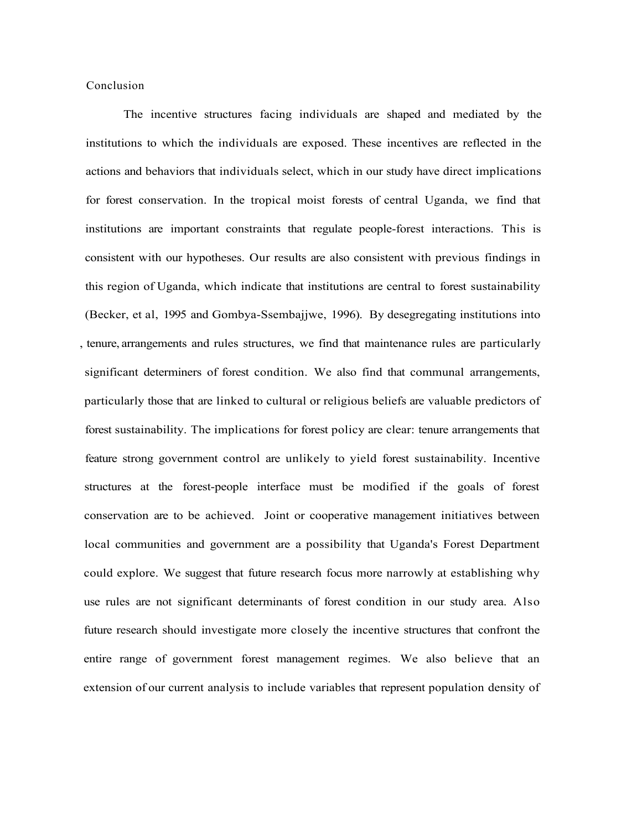Conclusion

The incentive structures facing individuals are shaped and mediated by the institutions to which the individuals are exposed. These incentives are reflected in the actions and behaviors that individuals select, which in our study have direct implications for forest conservation. In the tropical moist forests of central Uganda, we find that institutions are important constraints that regulate people-forest interactions. This is consistent with our hypotheses. Our results are also consistent with previous findings in this region of Uganda, which indicate that institutions are central to forest sustainability (Becker, et al, 1995 and Gombya-Ssembajjwe, 1996). By desegregating institutions into , tenure, arrangements and rules structures, we find that maintenance rules are particularly significant determiners of forest condition. We also find that communal arrangements, particularly those that are linked to cultural or religious beliefs are valuable predictors of forest sustainability. The implications for forest policy are clear: tenure arrangements that feature strong government control are unlikely to yield forest sustainability. Incentive structures at the forest-people interface must be modified if the goals of forest conservation are to be achieved. Joint or cooperative management initiatives between local communities and government are a possibility that Uganda's Forest Department could explore. We suggest that future research focus more narrowly at establishing why use rules are not significant determinants of forest condition in our study area. Also future research should investigate more closely the incentive structures that confront the entire range of government forest management regimes. We also believe that an extension of our current analysis to include variables that represent population density of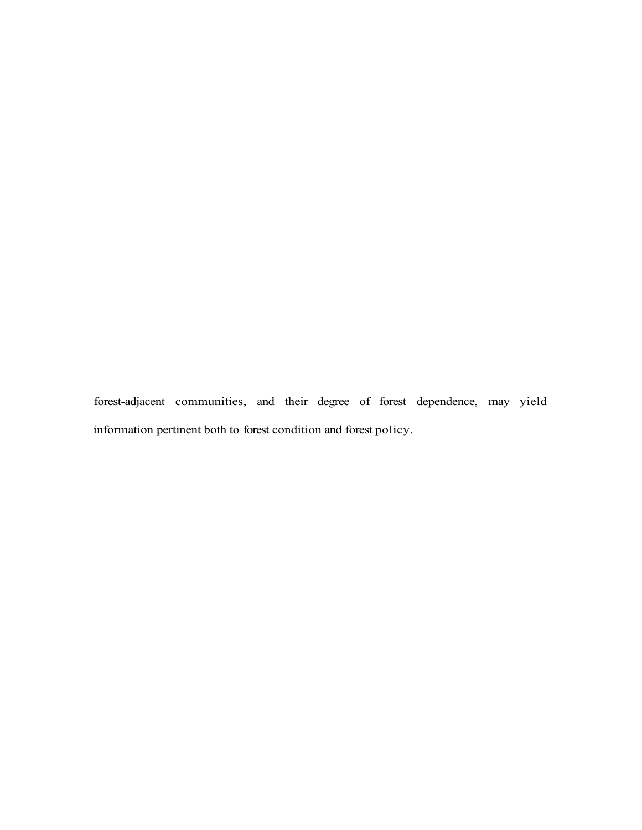forest-adjacent communities, and their degree of forest dependence, may yield information pertinent both to forest condition and forest policy.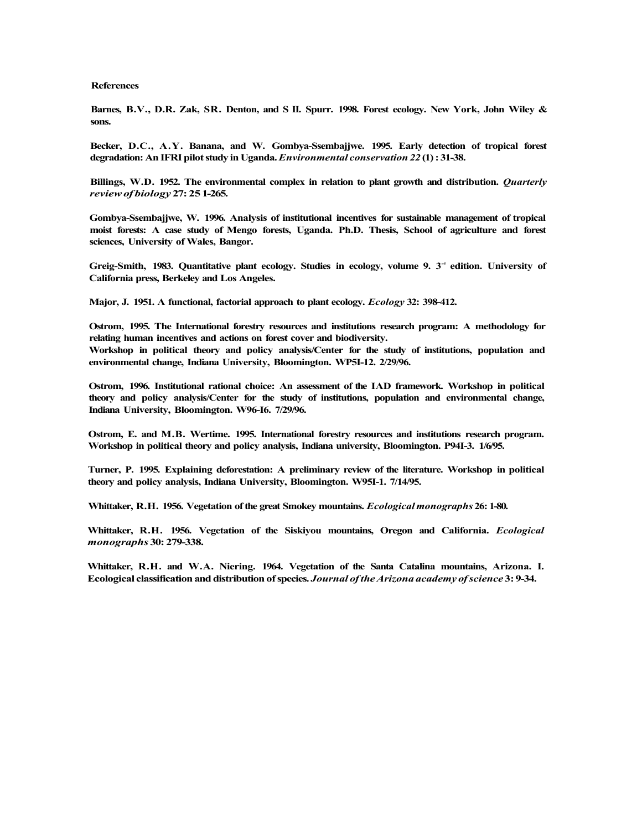#### **References**

**Barnes, B.V., D.R. Zak, SR. Denton, and S II. Spurr. 1998. Forest ecology. New York, John Wiley & sons.** 

**Becker, D.C., A.Y. Banana, and W. Gombya-Ssembajjwe. 1995. Early detection of tropical forest degradation: An IFRI pilot study in Uganda.** *Environmental conservation 22* **(1) : 31-38.** 

**Billings, W.D. 1952. The environmental complex in relation to plant growth and distribution.** *Quarterly review of biology* **27: 25 1-265.** 

**Gombya-Ssembajjwe, W. 1996. Analysis of institutional incentives for sustainable management of tropical moist forests: A case study of Mengo forests, Uganda. Ph.D. Thesis, School of agriculture and forest sciences, University of Wales, Bangor.** 

Greig-Smith, 1983. Quantitative plant ecology. Studies in ecology, volume 9. 3<sup>rd</sup> edition. University of **California press, Berkeley and Los Angeles.** 

**Major, J. 1951. A functional, factorial approach to plant ecology.** *Ecology* **32: 398-412.** 

**Ostrom, 1995. The International forestry resources and institutions research program: A methodology for relating human incentives and actions on forest cover and biodiversity.** 

**Workshop in political theory and policy analysis/Center for the study of institutions, population and environmental change, Indiana University, Bloomington. WP5I-12. 2/29/96.** 

**Ostrom, 1996. Institutional rational choice: An assessment of the IAD framework. Workshop in political theory and policy analysis/Center for the study of institutions, population and environmental change, Indiana University, Bloomington. W96-I6. 7/29/96.** 

**Ostrom, E. and M.B. Wertime. 1995. International forestry resources and institutions research program. Workshop in political theory and policy analysis, Indiana university, Bloomington. P94I-3. 1/6/95.** 

**Turner, P. 1995. Explaining deforestation: A preliminary review of the literature. Workshop in political theory and policy analysis, Indiana University, Bloomington. W95I-1. 7/14/95.** 

**Whittaker, R.H. 1956. Vegetation of the great Smokey mountains.** *Ecological monographs* **26: 1-80.** 

**Whittaker, R.H. 1956. Vegetation of the Siskiyou mountains, Oregon and California.** *Ecological monographs* **30: 279-338.** 

**Whittaker, R.H. and W.A. Niering. 1964. Vegetation of the Santa Catalina mountains, Arizona. I. Ecological classification and distribution of species.** *Journal of the Arizona academy of science* **3: 9-34.**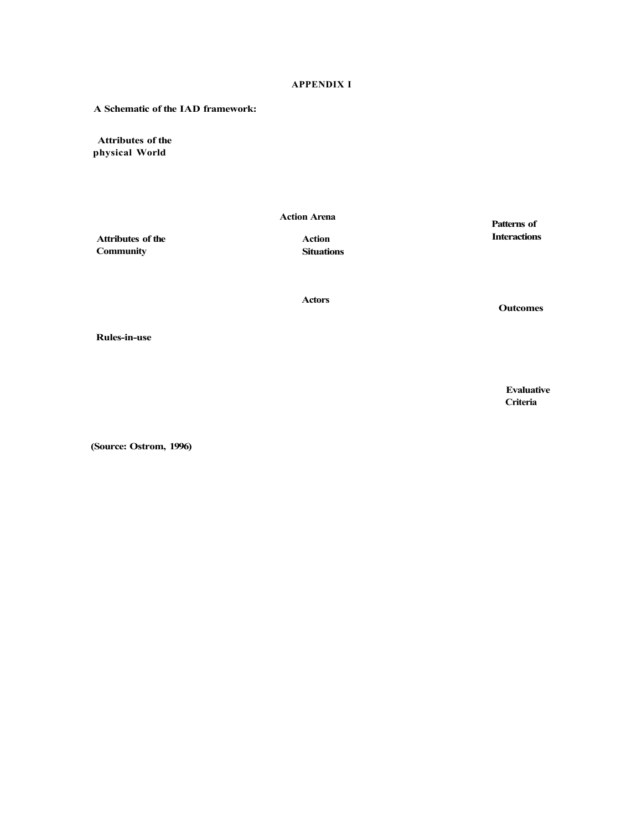#### **APPENDIX I**

**A Schematic of the IAD framework:** 

**Attributes of the physical World** 

**Action Arena** 

**Attributes of the Community** 

**Action Situations**  **Patterns of Interactions** 

**Actors** 

**Outcomes** 

**Rules-in-use** 

**Evaluative Criteria** 

**(Source: Ostrom, 1996)**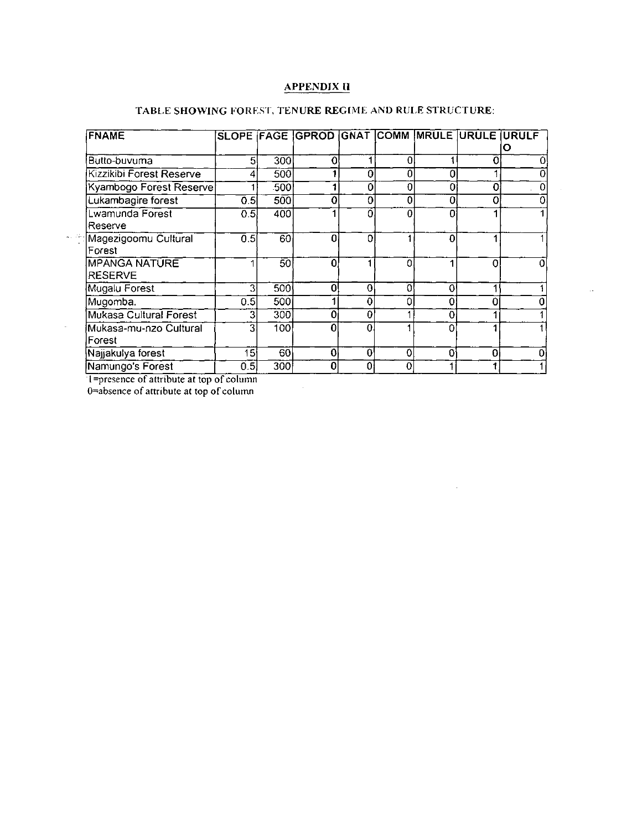## **APPENDIX II**

| <b>FNAME</b>             |     |     | SLOPE FAGE GPROD GNAT COMM MRULE URULE URULF |    |   |          |          |  |
|--------------------------|-----|-----|----------------------------------------------|----|---|----------|----------|--|
|                          |     |     |                                              |    |   |          |          |  |
| Butto-buvuma             | 5   | 300 | a                                            |    |   |          |          |  |
| Kizzikibi Forest Reserve |     | 500 |                                              | ი  |   | ი        |          |  |
| Kyambogo Forest Reserve  |     | 500 |                                              | 0  |   | 0        | O        |  |
| Lukambagire forest       | 0.5 | 500 | O                                            | 0  | 0 | 0        | 0        |  |
| Lwamunda Forest          | 0.5 | 400 |                                              |    | 0 |          |          |  |
| Reserve                  |     |     |                                              |    |   |          |          |  |
| Magezigoomu Cultural     | 0.5 | 60  | 0                                            | Ω  |   | O        |          |  |
| Forest                   |     |     |                                              |    |   |          |          |  |
| <b>MPANGA NATURE</b>     |     | 50  | n                                            |    | Ω |          | 0        |  |
| <b>RESERVE</b>           |     |     |                                              |    |   |          |          |  |
| Mugalu Forest            | 3   | 500 | ი                                            | 0  | Ω | $\Omega$ |          |  |
| Mugomba.                 | 0.5 | 500 |                                              |    |   |          |          |  |
| Mukasa Cultural Forest   |     | 300 |                                              | 0  |   |          |          |  |
| Mukasa-mu-nzo Cultural   | o   | 100 |                                              |    |   |          |          |  |
| Forest                   |     |     |                                              |    |   |          |          |  |
| Najjakulya forest        | 15  | 60  | 0                                            | O. | 0 |          | $\Omega$ |  |
| Namungo's Forest         | 0.5 | 300 | 0                                            | 0  |   |          |          |  |

 $\hat{\boldsymbol{\beta}}$ 

 $\sim 10^7$ 

 $\hat{\beta}$ 

## TABLE SHOWING FOREST, TENURE REGIME AND RULE STRUCTURE:

1=presence of attribute at top of column<br>0=absence of attribute at top of column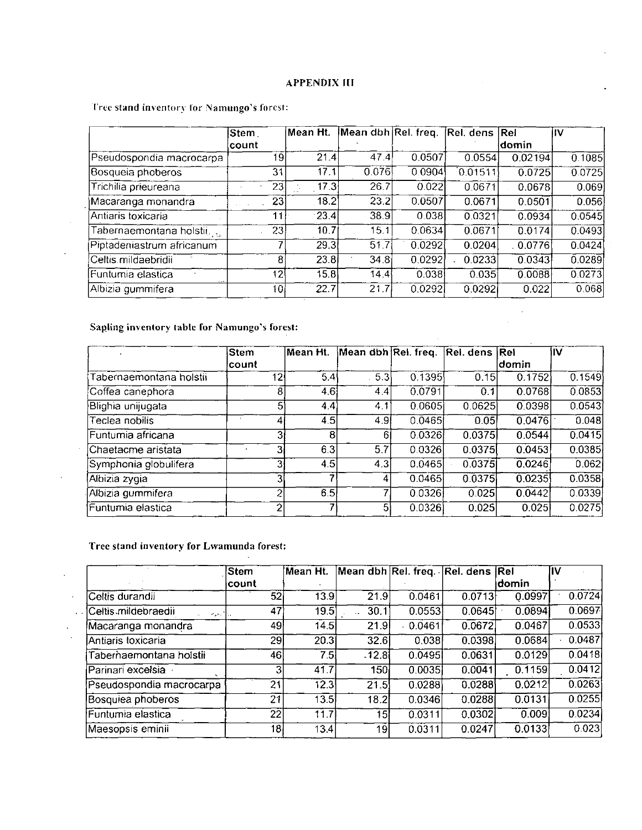### **APPENDIX III**

Tree stand inventory for Namungo's forest:

|                           | Stem            | ∣Mean Ht.     | Mean dbh Rel. freq. Rel. dens Rel |        |         |          | IIV    |
|---------------------------|-----------------|---------------|-----------------------------------|--------|---------|----------|--------|
|                           | lcount          |               |                                   |        |         | ldomin   |        |
| Pseudospondia macrocarpa  | 19              | 21.4          | 47.4                              | 0.0507 | 0.0554  | 0.02194  | 0.1085 |
| Bosqueia phoberos         | 31              | 17.1          | 0.076                             | 0.0904 | 0.01511 | 0.0725   | 0.0725 |
| Trichilia prieureana      | 23              | 17.3          | 26.7                              | 0.022  | 0.0671  | 0.0678   | 0.069  |
| Macaranga monandra        | 231             | 18.2          | 23.2                              | 0.0507 | 0.0671  | 0.0501   | 0.056  |
| Antiaris toxicaria        | 11              | $\cdot$ 23.41 | 38.9                              | 0.038  | 0.0321  | 0.0934   | 0.0545 |
| Tabernaemontana holstii   | 23              | 10.7          | 15.1                              | 0.0634 | 0.0671  | 0.0174   | 0.0493 |
| Piptadeniastrum africanum |                 | 29.3          | 51.7                              | 0.0292 | 0.0204  | . 0.0776 | 0.0424 |
| Celtis mildaebridii       | 8               | 23.8          | 34.8                              | 0.0292 | 0.0233  | 0.0343   | 0.0289 |
| Funtumia elastica         | 12 <sup>1</sup> | 15.8          | 14.4                              | 0.038  | 0.035   | 0.0088   | 0.0273 |
| Albizia gummifera         | 10              | 22.7          | 21.7                              | 0.0292 | 0.0292  | 0.022    | 0.068  |

 $\sim$ 

## Sapling inventory table for Namungo's forest:

ä,

 $\hat{\mathbf{v}}$ 

 $\ddot{\phantom{a}}$ 

 $\sim$ 

 $\mathcal{A}$ 

 $\ddot{\phantom{a}}$ 

|                         | Stem   | lMean Ht. | Mean dbh Rel. freq. Rel. dens Rel |        |        |        | ۱IV                 |
|-------------------------|--------|-----------|-----------------------------------|--------|--------|--------|---------------------|
|                         | lcount |           |                                   |        |        | ldomin |                     |
| Tabernaemontana holstii | 12     | 5.4       | 53                                | 0.1395 | 0.15   | 0.1752 | $\overline{0.1549}$ |
| Coffea canephora        | 8      | 4.6       | 4.4                               | 0.0791 | 0.1    | 0.0768 | 0.0853              |
| Blighia unijugata       | 5      | 44        | 4.1                               | 0.0605 | 0.0625 | 0.0398 | 0.0543              |
| Teclea nobilis          |        | 4.5       | 4.9                               | 0.0465 | 0.05   | 0.0476 | 0.048               |
| Funtumia africana       | 31     | 8         | 61                                | 0.0326 | 0.0375 | 0.0544 | 0.0415              |
| lChaetacme aristata     | Зг     | 6.3       | 5.7                               | 0.0326 | 0.0375 | 0.0453 | 0.0385              |
| Symphonia globulifera   | 31     | 45        | 4.3                               | 0.0465 | 0.0375 | 0.0246 | 0.062               |
| Albizia zygia           | З      |           |                                   | 0.0465 | 0.0375 | 0.0235 | 0.0358              |
| Albizia gummifera       | 2      | 6.5       |                                   | 0.0326 | 0.025  | 0.0442 | $\overline{0.0339}$ |
| Funtumia elastica       | ↷      |           | 5                                 | 0.0326 | 0.025  | 0.025  | 0.0275              |

## Tree stand inventory for Lwamunda forest:

|                                   | <b>Stem</b> | Mean Ht.          | Mean dbh Rel. freq. Rel. dens Rel |         |        |                    | IV     |
|-----------------------------------|-------------|-------------------|-----------------------------------|---------|--------|--------------------|--------|
|                                   | count       |                   |                                   |         |        | ldomin             |        |
| Celtis durandii                   | 52          | 13.9              | $\overline{21.9}$                 | 0.0461  | 0.0713 | 0.0997             | 0.0724 |
| Celtis mildebraedii<br>أرواحيوالا | 47)         | 19.5              | 30.1                              | 0.0553  | 0.0645 | 0.0894             | 0.0697 |
| Macaranga monandra                | 49          | 1451              | 21.9                              | 0.0461  | 0.0672 | 0.0467             | 0.0533 |
| Antiaris toxicaria                | 29          | 20.3              | 32.6                              | 0.038   | 0.0398 | 0.0684             | 0.0487 |
| Taberhaemontana holstii           | 46          | 751               | $-12.8$                           | 0.04951 | 0.0631 | 0.0129             | 0.0418 |
| Parinari excelsia                 | 31          | 41.7              | 150                               | 0.0035  | 0.0041 | 0.1159             | 0.0412 |
| Pseudospondia macrocarpa          | 21          | $\overline{12.3}$ | 21.5                              | 0.0288  | 0.0288 | 0.0212             | 0.0263 |
| Bosquiea phoberos                 | 21          | 13.5              | 18.2                              | 0.0346  | 0.0288 | 0.0131             | 0.0255 |
| Funtumia elastica                 | 22          | 11.7              | 15                                | 0.0311  | 0.0302 | $\overline{0.009}$ | 0.0234 |
| Maesopsis eminii                  | 18          | 13.4              | 19                                | 0.0311  | 0.0247 | 0.0133             | 0.023  |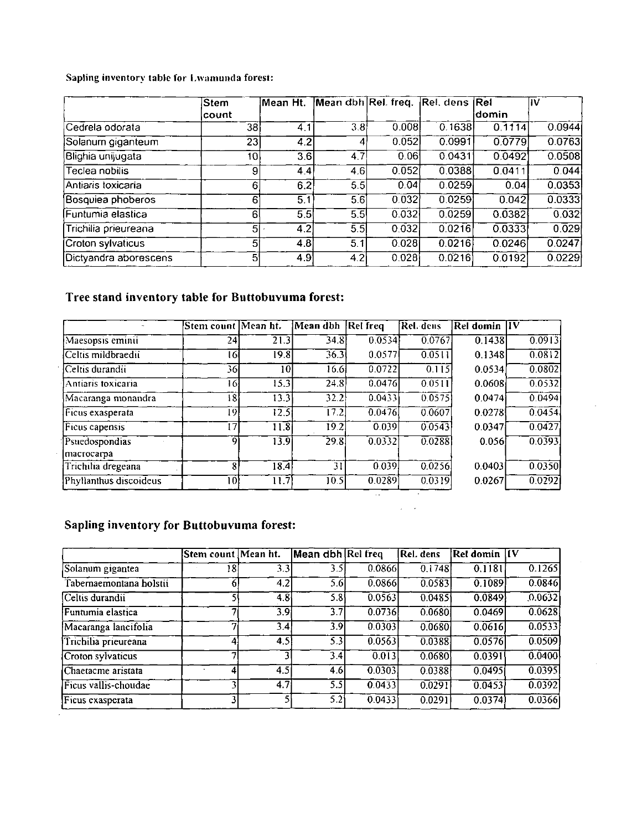Sapling inventory table for Lwamunda forest:

|                       | Stem           | Mean Ht.         | Mean dbh Rel. freq. Rel. dens Rel |       |           |         | lıv    |
|-----------------------|----------------|------------------|-----------------------------------|-------|-----------|---------|--------|
|                       | lcount.        |                  |                                   |       |           | idomin. |        |
| Cedrela odorata       | 38             | 4.1              | 3.8                               | 0.008 | 0.1638    | 0.1114  | 0.0944 |
| Solanum giganteum     | 231            | 4.2              |                                   | 0.052 | 0.0991    | 0.0779  | 0.0763 |
| Blighia unijugata     | 10             | 3.6              | 4.7                               | 0.061 | 0 0 4 3 1 | 0.0492  | 0.0508 |
| Teclea nobilis        | $\overline{9}$ | 4.4              | 4.6                               | 0.052 | 0.0388    | 0.0411  | 0.044  |
| Antiaris toxicaria    | 61             | $\overline{6.2}$ | 5.5                               | 0.04  | 0.0259    | 0.04    | 0.0353 |
| Bosquiea phoberos     | 61             | 5.1              | 5.6                               | 0.032 | 0.0259    | 0.042   | 0.0333 |
| Funtumia elastica     | 61             | 5.5              | 5.5                               | 0.032 | 0.0259    | 0.0382  | 0.032  |
| Trichilia prieureana  | 51             | 4.2              | 5.5                               | 0.032 | 0.0216    | 0.0333  | 0.029  |
| Croton sylvaticus     | 51             | $\overline{4.8}$ | 5.1                               | 0.028 | 0.0216    | 0.0246  | 0.0247 |
| Dictyandra aborescens | 51             | 4.9              | 4.2                               | 0.028 | 0.0216    | 0.0192  | 0.0229 |

# Tree stand inventory table for Buttobuvuma forest:

|                              | Stem count Mean ht. |                   | Mean dbh | Rel freq | Rel. dens           | Rel domin IV |          |
|------------------------------|---------------------|-------------------|----------|----------|---------------------|--------------|----------|
| Maesopsis eminii             | 24                  | $\overline{21.3}$ | 34.8     | 0.0534   | $\sqrt{0.0767}$     | 0.1438       | 0.0913   |
| Celtis mildbraedii           | 16                  | 19.8              | 36.3     | 0.0577   | 0.0511              | 0.1348       | 0.0812   |
| Celtis durandii              | 36                  | 10                | 16.6     | 0.0722   | 0.115               | 0.0534       | [0.0802] |
| Antiaris toxicaria           | 16                  | $\overline{15.3}$ | 24.8     | 0.0476   | 0.0511              | 0.0608       | 0.0532   |
| Macaranga monandra           | 18                  | 13.3              | 32.2     | 0.0433   | 0.0575              | 0.0474       | 0.0494   |
| Ficus exasperata             | 19                  | 12.5              | 17.2     | 0.0476   | $\overline{0.0607}$ | 0.0278       | 0.0454   |
| Ficus capensis               | 17                  | 11.8              | 19.2     | 0.039    | 0.0543              | 0.0347       | [0.0427] |
| Psuedospondias<br>macrocarpa | 9                   | 13.9              | 29.8     | [0.0332] | 0.0288              | 0.056        | [0.0393] |
| Trichilia dregeana           | 8                   | 18.4              | 311      | 0.039    | 0.0256              | 0.0403       | 0.0350   |
| Phyllanthus discoideus       | 101                 | 11.7              | 10.5     | 0.0289   | 0.0319              | 0.0267       | [0.0292] |

 $\omega = \omega$ 

## Sapling inventory for Buttobuvuma forest:

|                         | Stem count Mean ht. |                  | <b>Mean dbh Rel freq</b> |        | Rel. dens | <b>Rel domin</b> IV |          |
|-------------------------|---------------------|------------------|--------------------------|--------|-----------|---------------------|----------|
| Solanum gigantea        | 18                  | 3.3              | 3.5I                     | 0.0866 | 0.1748    | 0.1181              | 0.1265   |
| Tabernaemontana holstii | 61                  | 4.2              | 5.6                      | 0.0866 | 0.0583    | 0.1089              | 0.0846   |
| Celtis durandii         |                     | 4.8              | 5.8                      | 0.0563 | 0.0485    | 0.0849              | [0.0632] |
| Funtumia elastica       |                     | 3.91             | 3.71                     | 0.0736 | 0.0680    | 0.0469              | 0.0628   |
| Macaranga lancifolia    |                     | 3.4              | 3.9                      | 0.0303 | 0.0680    | 0.0616              | [0.0533] |
| Trichilia prieureana    |                     | 4.5              | 5.3                      | 0.0563 | 0.0388    | 0.0576              | 0.0509   |
| Croton sylvaticus       |                     |                  | 3.4                      | 0.013  | 0.0680    | 0.0391              | 0.0400   |
| Chaetacme aristata      |                     | 4.51             | 4.6                      | 0.0303 | 0.0388    | 0.0495              | 0.0395   |
| Ficus vallis-choudae    |                     | 4.7 <sub>1</sub> | 5.5                      | 0.0433 | 0.0291    | 0.0453              | 0.0392   |
| Ficus exasperata        |                     |                  | 5.2                      | 0.0433 | 0.0291    | 0.0374              | 0.0366   |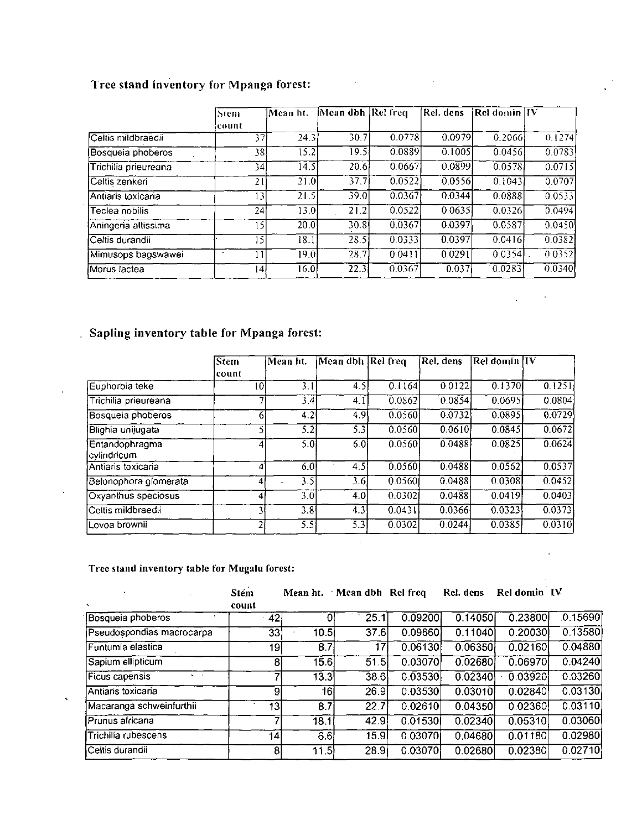# Tree stand inventory for Mpanga forest:

|                      | Stem            | Mean ht. | Mean dbh Rel freq |        | [Rel. dens | Rel domin  IV |        |
|----------------------|-----------------|----------|-------------------|--------|------------|---------------|--------|
|                      | lcount.         |          |                   |        |            |               |        |
| Celtis mildbraedii   | 371             | 24.3     | 30.7              | 0.0778 | 0.0979     | 0.2066        | 0.1274 |
| Bosqueia phoberos    | 381             | 15.2     | 19.51             | 0.0889 | 0.1005     | 0.0456        | 0.0783 |
| Trichilia prieureana | $\overline{54}$ | 14.5     | 20.6              | 0.0667 | 0.0899     | 0.0578        | 0.0715 |
| Celtis zenkeri       | 21              | 21.0     | 37.7i             | 0.0522 | 0.0556     | 0.1043        | 0.0707 |
| Antiaris toxicaria   | ا31             | 21.5     | 39.0              | 0.0367 | 0.0344     | 0.0888        | 0.0533 |
| Teclea nobilis       | 24              | 13.0     | $2\overline{1.2}$ | 0.0522 | 0.0635     | 0.0326        | 0.0494 |
| Aningeria altissima  | اۇ،             | 20.0     | 30.8              | 0.0367 | 0.0397     | 0.0587        | 0.0450 |
| Celtis durandii      | الۍ             | 18.1     | 28.5              | 0.0333 | 0.0397     | 0.0416        | 0.0382 |
| Mimusops bagswawei   |                 | 19.01    | 28.7              | 0.0411 | 0.0291     | 0.0354        | 0.0352 |
| Morus lactea         | 141             | 16.0     | $\overline{22.3}$ | 0.0367 | 0.037      | 0.0283        | 0.0340 |

 $\Box$ 

 $\bar{\mathcal{A}}$ 

J,

# . Sapling inventory table for Mpanga forest:

 $\hat{\mathbf{r}}$ 

 $\ddot{\phantom{a}}$ 

 $\hat{\textbf{v}}$ 

|                               | Stem<br>¦count | Mean ht. | Mean dbh Rel freq |        | (Rel. dens | Rel domin  IV |        |
|-------------------------------|----------------|----------|-------------------|--------|------------|---------------|--------|
| Euphorbia teke                | $\overline{0}$ | 3.1      | 4.5               | 0.1164 | 0.0122     | 0.1370        | 0.1251 |
| Trichilia prieureana          |                | 3.4      | 4.1               | 0.0862 | 0.0854     | 0.0695        | 0.0804 |
| Bosqueia phoberos             | O              | 4.2      | 4.91              | 0.0560 | 0.0732     | 0.0895        | 0.0729 |
| Blighia unijugata             |                | 5.2I     | 5.31              | 0.0560 | 0.0610     | 0.0845        | 0.0672 |
| Entandophragma<br>cylindricum | 4              | 5.0I     | 6.01              | 0.0560 | 0.0488     | 0.0825        | 0.0624 |
| IAntiaris toxicaria           | 4              | 6.0      | 4.5               | 0.0560 | 0.0488     | 0.0562        | 0.0537 |
| Belonophora glomerata         | 4              | 3.51     | 3.6I              | 0.0560 | 0.0488     | 0.0308        | 0.0452 |
| Oxyanthus speciosus           | 4              | 3.OI     | 4.0               | 0.0302 | 0.0488     | 0.0419        | 0.0403 |
| Celtis mildbraedii            |                | 3.81     | 4.3               | 0.0431 | 0.0366     | 0.0323        | 0.0373 |
| Lovoa brownii                 | 2              | 5.51     | 5.3               | 0.0302 | 0.0244     | 0.0385        | 0.0310 |

## Tree stand inventory table for Mugalu forest:

|                                 | Stém  | Mean ht.         | Mean dbh Rel freq            |          | Rel. dens | Rel domin IV |          |
|---------------------------------|-------|------------------|------------------------------|----------|-----------|--------------|----------|
|                                 | count |                  |                              |          |           |              |          |
| Bosqueia phoberos               | 42    |                  | 25.1                         | 0.092001 | 0.14050   | 0.23800      | .0.15690 |
| Pseudospondias macrocarpa       | 331   | 10.5             | 37.6                         | 0.09660  | 0.11040   | 0.20030      | 0.13580  |
| Funtumia elastica               | 191   | 8.7              | 17                           | 0.06130  | 0.06350   | 0.02160      | 0.04880  |
| Sapium ellipticum               | 8     | 15.6             | 51.5                         | 0.03070  | 0.02680   | [0.06970]    | 0.04240  |
| Ficus capensis<br>$\sim$ $\sim$ |       | 13.3             | 38.6                         | 0.03530  | 0.02340   | 0.03920      | 0.03260  |
| Antiaris toxicaria              | 91    | 161              | 26.9                         | 0.03530  | 0.03010   | 0.02840      | 0.03130  |
| Macaranga schweinfurthii        | 131   | $\overline{8.7}$ | $\overline{2}2.\overline{7}$ | 0.02610  | 0.04350   | 0.02360      | 0.03110  |
| Prunus africana                 |       | 18.1             | 42.9                         | 0.01530  | 0.02340   | 0.05310      | 0.03060  |
| Trichilia rubescens             | 14    | 6.6              | 15.9                         | 0.03070  | 0.04680   | 0.01180      | 0.02980  |
| Celtis durandii                 | 8     | 11.5             | <b>28.9</b>                  | 0.03070  | 0.02680   | 0.02380      | 0.02710  |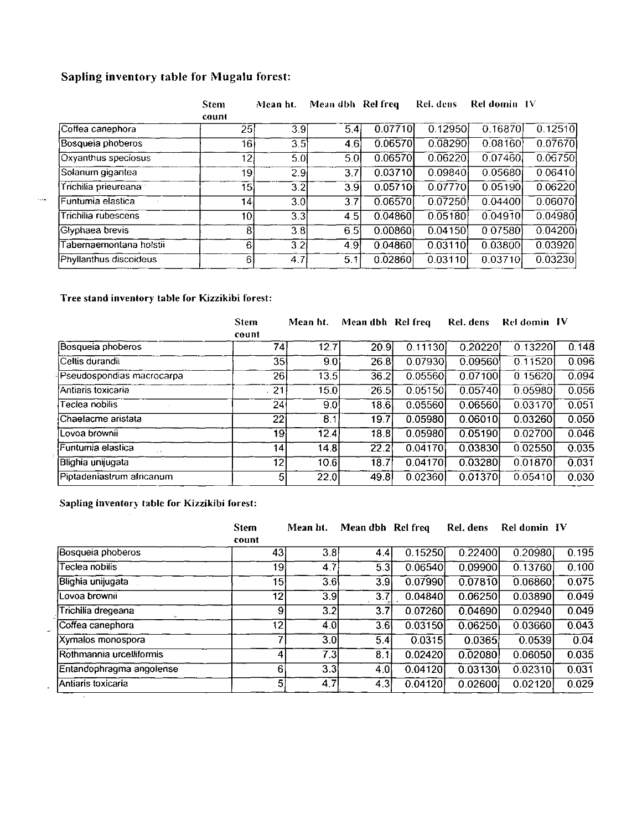## Sapling inventory table for Mugalu forest:

|                         | <b>Stem</b><br>count | Mean ht.         | Mean dbh Rel freq |         | Rel. dens | Rel domin IV |         |
|-------------------------|----------------------|------------------|-------------------|---------|-----------|--------------|---------|
| Coffea canephora        | 25                   | 3.9              | 5.4               | 0.07710 | 0.12950   | 0.16870      | 0.12510 |
| Bosqueia phoberos       | 16 <sup>1</sup>      | 3.5              | 4.6               | 0.06570 | 0.08290   | 0.08160      | 0.07670 |
| Oxyanthus speciosus     | 12                   | 5.0              | 5.0               | 0.06570 | 0.06220   | 0.07460      | 0.06750 |
| Solanum gigantea        | 19                   | 2.9              | 3.7               | 0.03710 | 0.09840   | 0.05680      | 0.06410 |
| Trichilia prieureana    | 15                   | 3.2              | 3.9               | 0.05710 | 0.07770   | 0.05190      | 0.06220 |
| Funtumia elastica       | 14                   | 3.0              | 3.7               | 0.06570 | 0.07250   | 0.04400      | 0.06070 |
| Trichilia rubescens     | 10 <sub>1</sub>      | 3.3              | 4.5               | 0.04860 | 0.05180   | 0.04910      | 0.04980 |
| Glyphaea brevis         | 81                   | $\overline{3.8}$ | 6.5               | 0.00860 | 0.04150   | 0.07580      | 0.04200 |
| Tabernaemontana holstii | 61                   | 3.2              | 4.9               | 0.04860 | 0.03110   | 0.03800      | 0.03920 |
| Phyllanthus discoideus  | 61                   | 4.7              | 5.1               | 0.02860 | 0.03110   | 0.03710      | 0.03230 |

## Tree stand inventory table for Kizzikibi forest:

 $\langle \ldots \rangle$ 

| <b>Stem</b><br>count | Mean ht. |                                                                                     |                                                                                         | Rel. dens                                                                                        | Rel domin IV                                                                                               |                                                                                                            |
|----------------------|----------|-------------------------------------------------------------------------------------|-----------------------------------------------------------------------------------------|--------------------------------------------------------------------------------------------------|------------------------------------------------------------------------------------------------------------|------------------------------------------------------------------------------------------------------------|
|                      |          |                                                                                     |                                                                                         |                                                                                                  | 0.13220                                                                                                    | 0.148                                                                                                      |
|                      |          |                                                                                     |                                                                                         |                                                                                                  | 0.11520                                                                                                    | 0.096                                                                                                      |
|                      |          |                                                                                     |                                                                                         |                                                                                                  | 0.15620                                                                                                    | 0.094                                                                                                      |
|                      |          |                                                                                     |                                                                                         |                                                                                                  | 0.05980                                                                                                    | 0.056                                                                                                      |
|                      |          |                                                                                     |                                                                                         |                                                                                                  | 0.03170                                                                                                    | 0.051                                                                                                      |
|                      |          |                                                                                     |                                                                                         |                                                                                                  | 0.03260                                                                                                    | 0.050                                                                                                      |
|                      |          |                                                                                     |                                                                                         |                                                                                                  | 0.02700                                                                                                    | 0.046                                                                                                      |
|                      |          |                                                                                     |                                                                                         |                                                                                                  | 0.02550                                                                                                    | 0.035                                                                                                      |
|                      |          |                                                                                     |                                                                                         |                                                                                                  | 0.01870                                                                                                    | 0.031                                                                                                      |
|                      |          |                                                                                     |                                                                                         |                                                                                                  | 0.05410                                                                                                    | 0.030                                                                                                      |
|                      |          | 74I<br>351<br>261<br>21<br>24<br>22<br>19I<br>14<br>12 <sub>l</sub><br>$\mathbf{5}$ | 12.7<br>9.01<br>13.5<br>15.0<br>9.0<br>8.1<br>12.4<br>14.8<br>10.6<br>$\overline{22.0}$ | Mean dbh Rel freq<br>20.9<br>26.8<br>36.2<br>26.5<br>186<br>19.7<br>18.8<br>22.2<br>18.7<br>49.8 | 0.11130<br>0.07930<br>0.05560<br>0.05150<br>0.05560<br>0.05980<br>0.05980<br>0.04170<br>0.04170<br>0.02360 | 0.20220<br>0.09560<br>0.07100<br>0.05740<br>0.06560<br>0.06010<br>0.05190<br>0.03830<br>0.03280<br>0.01370 |

Sapling inventory table for Kizzikibi forest:

|                          | <b>Stem</b><br>count | Mean ht.            | Mean dbh Rel freq |         | Rel. dens | <b>Rel domin IV</b> |       |
|--------------------------|----------------------|---------------------|-------------------|---------|-----------|---------------------|-------|
| Bosqueia phoberos        | 43 <sub>1</sub>      | 3.8                 | 4.4               | 0.15250 | 0.22400   | 0.20980             | 0.195 |
| Teclea nobilis           | 19 l                 | 4.7                 | 53                | 0.06540 | 0.09900   | 0.13760             | 0.100 |
| Blighia unijugata        | 15                   | 3.6                 | 3.9               | 0.07990 | 0.07810   | 0.06860             | 0.075 |
| ovoa brownii             | 12                   | $\overline{3.9}$    | 37                | 0.04840 | 0.06250   | 0.03890             | 0.049 |
| Trichilia dregeana       |                      | 3.2<br>$\vert$ 9    | 3.7               | 0.07260 | 0.04690   | 0.02940             | 0.049 |
| Coffea canephora         | 12                   | 4.0I                | 3.6               | 0.03150 | 0.06250   | 0.03660             | 0.043 |
| Xymalos monospora        |                      | $\overline{3.0}$    | 5.4               | 0.0315  | 0.0365    | 0.0539              | 0.04  |
| Rothmannia urcelliformis |                      | 7.3                 | 8.11              | 0.02420 | 0.02080   | 0.06050             | 0.035 |
| Entandophragma angolense |                      | 3.3<br>6            | 4.0               | 0.04120 | 0.03130   | 0.02310             | 0.031 |
| Antiaris toxicaria       |                      | $\mathbf{5}$<br>4.7 | 4.3               | 0.04120 | 0.02600   | 0.02120             | 0.029 |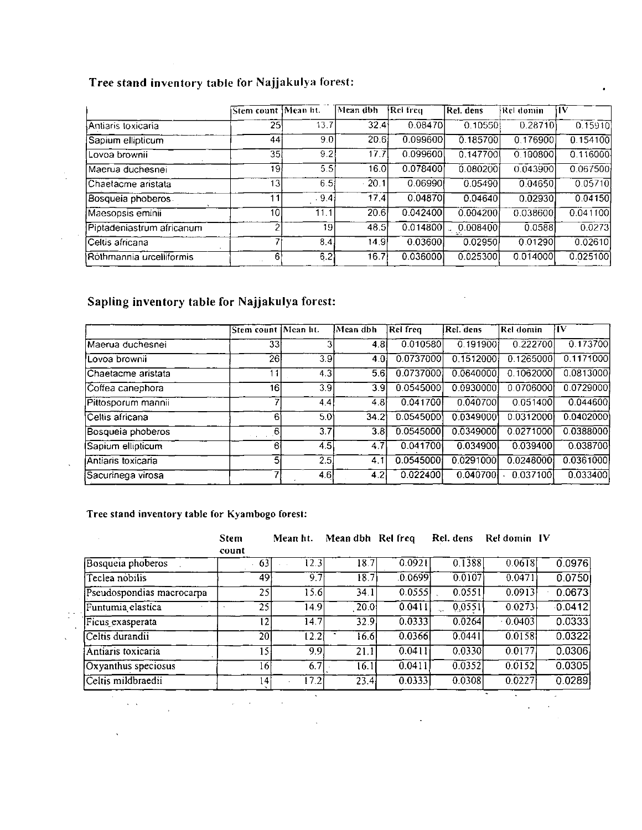# Tree stand inventory table for Najjakulya forest:

|                           | Stem count [Mean ht.] |      | Mean dbh            | <b>Rei</b> freu | Rel. dens | Rel domin | ١W       |
|---------------------------|-----------------------|------|---------------------|-----------------|-----------|-----------|----------|
| lAntiaris toxicaria       | 25                    | 13.7 | 32.4                | 0.08470         | 0.10550   | 0.28710   | 0.15910  |
| Sapium ellipticum         | 44 <sup>1</sup>       | 9.0  | 20.6                | 0.099600        | 0.185700  | 0.176900  | 0.154100 |
| Lovoa brownii             | 35                    | 9.21 | 17.7                | 0.099600        | 0.147700  | 0.100800  | 0.116000 |
| lMaerua duchesnei         | 19                    | 5:5I | 16.0                | 0.078400        | 0.080200  | 0.043900  | 0.067500 |
| Chaetacme aristata        | 13 <sub>1</sub>       | 6.5! | $\cdot$ 20.1 $\mid$ | 0.06990!        | 0.05490   | 0.04650   | 0.05710  |
| Bosqueia phoberos         | $\mathbf 1$           | 9.4  | 17.4                | 0.04870         | 0.04640   | 0.02930   | 0.04150  |
| Maesopsis eminii          | 10                    | 11.1 | 20.6                | 0.042400        | 0.004200  | 0.038600  | 0.041100 |
| Piptadeniastrum africanum |                       | 19   | 48.5                | 0.014800        | 0.008400  | 0.0588    | 0.0273   |
| Celtis africana           |                       | 8.4  | 14.9                | 0.03600         | 0.02950   | 0.01290   | 0.02610  |
| Rothmannia urcelliformis  | ĥ                     | 6.2  | 16.7                | 0.036000        | 0.025300  | 0.014000  | 0.025100 |

## Sapling inventory table for Najjakulya forest:

 $\frac{1}{2}$ 

 $\sim$   $\sim$  $\bar{z}$ 

 $\bar{\mathcal{A}}$ 

 $\frac{1}{n}$  .

|                    | Stem count Mean ht. |                  | Mean dbh          | Rel freq  | Rel. dens | Rel domin | lIV       |
|--------------------|---------------------|------------------|-------------------|-----------|-----------|-----------|-----------|
| Maerua duchesnei   | 331                 |                  | 4.81              | 0.010580  | 0.191900  | 0.222700  | 0.173700  |
| Lovoa brownii      | 261                 | 3.9              | 4.01              | 0.0737000 | 0.1512000 | 0.1265000 | 0.1171000 |
| Chaetacme aristata |                     | 4.3              | 5.61              | 0.0737000 | 0.0640000 | 0.1062000 | 0.0813000 |
| Coffea canephora   | 16                  | 3.9              | 3.9 <sub>l</sub>  | 0.0545000 | 0.0930000 | 0.0706000 | 0.0729000 |
| Pittosporum mannii |                     | 4.4              | 4.8I              | 0.041700  | 0.040700  | 0.051400  | 0.044600  |
| lCeltis africana.  | 6                   | 5.01             | 34.2 <sub>1</sub> | 0.0545000 | 0.0349000 | 0.0312000 | 0.0402000 |
| Bosqueia phoberos  | 6                   | 3.7 <sub>l</sub> | 3.BI              | 0.0545000 | 0.0349000 | 0.0271000 | 0.0388000 |
| Sapium ellipticum  | -61                 | 4.5              | 4.7I              | 0.041700  | 0.034900  | 0.039400  | 0.038700  |
| Antiaris toxicaria |                     | 2.5              | 4.1               | 0.0545000 | 0.0291000 | 0.0248000 | 0.0361000 |
| Sacurinega virosa  |                     | 4.6              | 4.2               | 0.022400  | 0.040700  | 0.037100  | 0.033400  |

## Tree stand inventory table for Kyambogo forest:

|                           | <b>Stem</b><br>count | Mean ht.          | Mean dbh Rel freq |         | Rel. dens | Rel domin IV        |                     |
|---------------------------|----------------------|-------------------|-------------------|---------|-----------|---------------------|---------------------|
| Bosqueia phoberos         | 63                   | 12.3              | 18.7              | 0.0921  | 0.1388    | 0.0618              | 0.0976              |
| Teclea nobilis            | 49}                  | 9.7               | 18.7              | .0.0699 | 0.0107    | 0.0471              | 0.0750              |
| Pseudospondias macrocarpa | 25                   | 15.6              | 34.1              | 0.0555  | 0.0551    | 0.0913              | 0.0673              |
| Funtumia elastica         | 25                   | 14.9              | 20.0              | 0.0411  | 0,0551    | 0.0273              | $\overline{0.0412}$ |
| Ficus exasperata          | 12                   | 14.7              | 32.9              | 0.0333  | 0.0264    | $\overline{0.0403}$ | 0.0333              |
| Celtis durandii           | $\overline{20}$      | $\overline{12.2}$ | 16.6              | 0.0366  | 0.0441    | 0.0158              | 0.0322              |
| Antiaris toxicaria        | ا 15                 | 9.9               | 21.1              | 0.0411  | 0.0330    | 0.0177              | 0.0306              |
| Oxyanthus speciosus       | 16                   | 6.7               | $\overline{16.1}$ | 0.0411  | 0.0352    | 0.0152              | 0.0305              |
| Celtis mildbraedii        | 14l                  | 17.2              | $\overline{23.4}$ | 0.0333  | 0.0308    | 0.0227              | 0.0289              |
| $\sim$                    |                      |                   |                   |         |           | ۰                   |                     |

 $\ddot{\phantom{0}}$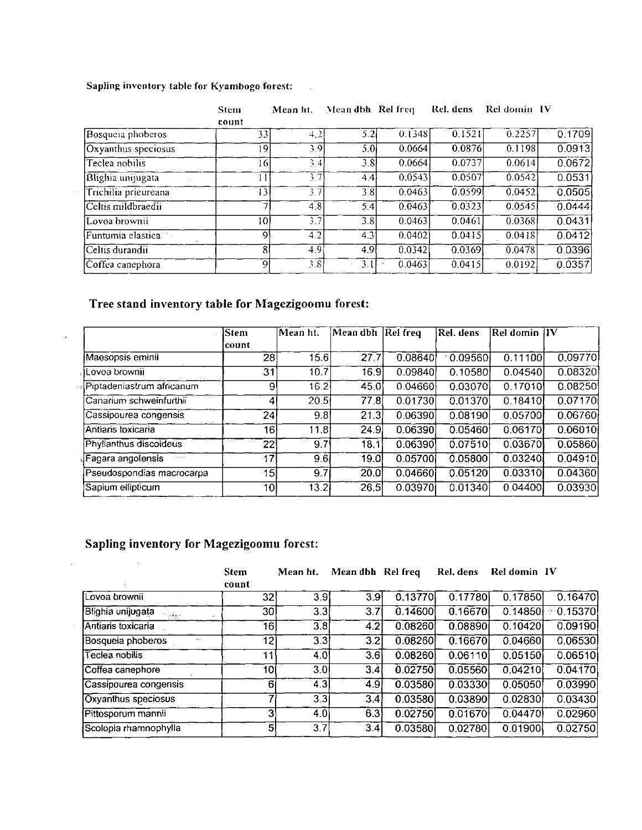## Sapling inventory table for Kyambogo forest:

|                      | Stem<br>count | Mean ht. | Mean dbh Rel freq |           | Rel. dens | Rel domin IV |        |
|----------------------|---------------|----------|-------------------|-----------|-----------|--------------|--------|
| Bosqueia phoberos    | 33.           | 4.2      | 5.2               | 0.1348    | 0.1521    | 0.2257       | 0.1709 |
| Oxyanthus speciosus  | -9            | 3.9      | 5.0 <sup>1</sup>  | 0.0664    | 0.0876    | 0.1198       | 0.0913 |
| Teclea nobilis       | -61           | 3.4      | 3.81              | 0.0664    | 0.0737    | 0.0614       | 0.0672 |
| Blighia unijugata    |               | 3.7      | 4.41              | 0.0543    | 0.0507    | 0.0542       | 0.0531 |
| Trichilia prieureana | 131           | 3.7      | 3.8               | 0.0463    | 0.0599    | 0.0452       | 0.0505 |
| Celtis mildbraedii   |               | 4.8      | 5.4               | 0 0 4 6 3 | 0.0323    | 0.0545       | 0.0444 |
| Lovoa brownii        | 10            | 3.7      | 3.8               | 0.0463    | 0.0461    | 0.0368       | 0.0431 |
| Funtumia elastica    | ا 9           | 4.2      | 4.3'              | 0.0402    | 0.0415    | 0.0418       | 0.0412 |
| Celtis durandii      | 81            | 4.9      | 4.9               | 0.0342    | 0.0369    | 0.0478       | 0.0396 |
| Coffea canephora     | 91            | 3.81     | 3.1               | 0.0463    | 0.0415    | 0.0192       | 0.0357 |
|                      |               |          |                   |           |           |              |        |

# Tree stand inventory table for Magezigoomu forest:

 $\bar{\tau}$  is

 $\hat{A}$ 

|                                            | <b>Stem</b> | Mean ht. | ¦Mean dbh         | Rel freq | Rel. dens | Rel domin   V |         |
|--------------------------------------------|-------------|----------|-------------------|----------|-----------|---------------|---------|
|                                            | 'count      |          |                   |          |           |               |         |
| Maesopsis eminii                           | 28          | 15.6     | 27.7              | 0.08640  | 0.09560   | 0.11100       | 0.09770 |
| Lovoa brownii                              | 31          | 10.7     | 16.9l             | 0.09840  | 0.10580   | 0.04540       | 0.08320 |
| Piptadeniastrum africanum                  | 9           | 16.2     | 45.0              | 0.04660  | 0.03070   | 0.17010       | 0.08250 |
| Canarium schweinfurthii                    | 4           | 20.5     | 77.8I             | 0.01730  | 0.01370   | 0.18410       | 0.07170 |
| Cassipourea congensis                      | 24          | 9.8      | 21.3              | 0.06390  | 0.08190   | 0.05700       | 0.06760 |
| Antiaris toxicaria                         | 161         | 11.8     | 24.9l             | 0.06390  | 0.05460   | 0.06170       | 0.06010 |
| Phyllanthus discoideus                     | 22          | 9.7      | 18.1              | 0.06390  | 0.07510   | 0.03670       | 0.05860 |
| Fagara angolensis.<br>$\sim$ $\sim$ $\sim$ | 17          | 9.6      | 19.0 <sub>l</sub> | 0.05700  | 0.05800   | 0.03240       | 0.04910 |
| Pseudospondias macrocarpa                  | 151         | 9.7      | 20.0              | 0.04660  | 0.05120   | 0.03310       | 0.04360 |
| Sapium ellipticum                          | 101         | 13.2     | 26.5              | 0.03970  | 0.01340   | 0.04400       | 0.03930 |

# Sapling inventory for Magezigoomu forest:

 $\sim 10$ 

|                       |          | <b>Stem</b><br>count | Mean ht.         | Mean dbh Rel freq |         | Rel. dens | Rel domin IV |         |
|-----------------------|----------|----------------------|------------------|-------------------|---------|-----------|--------------|---------|
| Lovoa brownii         |          | 32                   | 3.9              | 3.9               | 0.13770 | 0.17780   | 0.17850      | 0.16470 |
| Blighia unijugata     | 109 A.C. | 30I                  | 3.3              | 3.7               | 0.14600 | 0.16670   | 0.14850      | 0.15370 |
| Antiaris toxicaria    |          | 16                   | 3.8              | 4.2               | 0.08260 | 0.08890   | 0.10420      | 0.09190 |
| Bosqueia phoberos     |          | 121                  | $\overline{3.3}$ | 3.2               | 0.08260 | 0.16670   | 0.04660      | 0.06530 |
| Teclea nobilis        |          | 11 <sub>1</sub>      | 4.0              | 3.6               | 0.08260 | 0.06110   | 0.05150      | 0.06510 |
| Coffea canephore      |          | 10I                  | 3.0              | 3.4               | 0.02750 | 0.05560   | 0.04210      | 0.04170 |
| Cassipourea congensis |          | 61                   | $\overline{4.3}$ | 4.9               | 0.03580 | 0.03330   | 0.05050      | 0.03990 |
| Oxyanthus speciosus   |          |                      | 3.3              | 3.4               | 0.03580 | 0.03890   | 0.02830      | 0.03430 |
| Pittosporum mannii    |          | 31                   | 4.0              | 6.3               | 0.02750 | 0.01670   | 0.04470      | 0.02960 |
| Scolopia rhamnophylla |          |                      | 3.7<br>51        | 3.4               | 0.03580 | 0.02780   | 0.01900      | 0.02750 |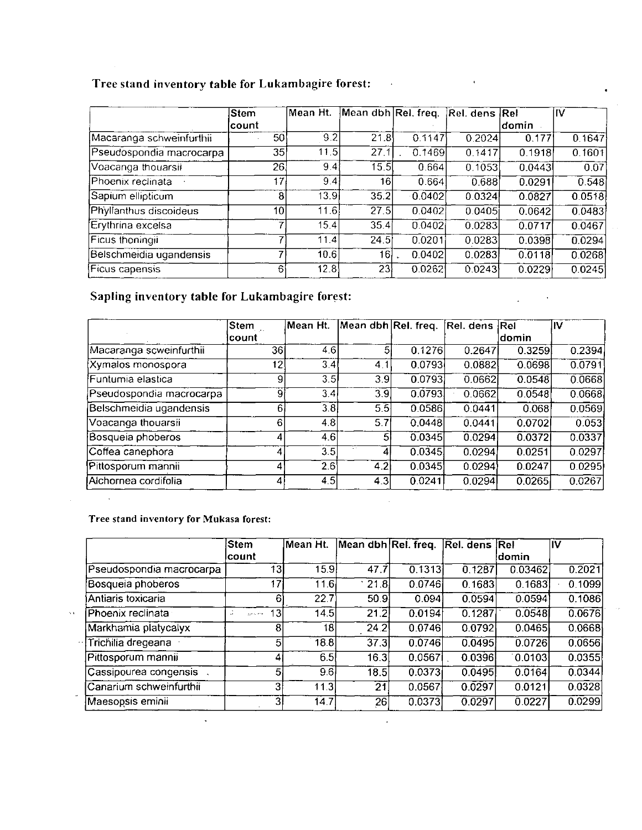# Tree stand inventory table for Lukambagire forest:

|                          | Stem            | Mean Ht. | Mean dbh Rel. freq. |        | Rel. dens Rel |        | IIV    |
|--------------------------|-----------------|----------|---------------------|--------|---------------|--------|--------|
|                          | lcount          |          |                     |        |               | ldomin |        |
| Macaranga schweinfurthii | 50 <sup>1</sup> | 9.2      | 21.8                | 0.1147 | 0.2024        | 0.177' | 0.1647 |
| Pseudospondia macrocarpa | 35              | 11.5     | 27.1                | 0.1469 | 0.1417        | 0.1918 | 0.1601 |
| Voacanga thouarsii       | 26              | 9,4      | 15.5                | 0.664  | 0.1053        | 0.0443 | 007    |
| Phoenix reclinata        | 17              | 9.4      | 16 <sup>1</sup>     | 0.664  | 0.688         | 0.0291 | 0.548  |
| Sapium ellipticum        | 81              | 13.9     | 35.2                | 0.0402 | 0.0324        | 0.0827 | 0.0518 |
| Phyllanthus discoideus   | 10              | 11.6     | 27.5                | 0.0402 | 0.0405        | 0.0642 | 0.0483 |
| Erythrina excelsa        |                 | 15.4     | 35.4                | 0.0402 | 0.0283        | 0.0717 | 0.0467 |
| Ficus thoningii          |                 | 11.4     | 24.5                | 0.0201 | 0.0283        | 0.0398 | 0.0294 |
| Belschmeidia ugandensis  |                 | 10.6     | 16                  | 0.0402 | 0.0283        | 0.0118 | 0.0268 |
| Ficus capensis           | 61              | 12.8     | 231                 | 0.0262 | 0.0243        | 0.0229 | 0.0245 |

 $\overline{1}$ 

 $\ddot{\phantom{a}}$ 

 $\sim 10^{-11}$ 

# Sapling inventory table for Lukambagire forest:

|                          | Stem    | Mean Ht. | Mean dbh Rel. freq. |        | Rel. dens Rel |        | IV     |
|--------------------------|---------|----------|---------------------|--------|---------------|--------|--------|
|                          | lcount∶ |          |                     |        |               | ldomin |        |
| Macaranga scweinfurthii  | 361     | 4.6      | 5                   | 0.1276 | 0.2647        | 0.3259 | 0.2394 |
| <b>Xymalos monospora</b> | 12      | 3.41     | 4.1                 | 0.0793 | 0.0882        | 0.0698 | 0.0791 |
| Funtumia elastica        | 9       | 3.5      | 39                  | 0.0793 | 0.0662        | 0.0548 | 0.0668 |
| Pseudospondia macrocarpa | 91      | 3.4      | 3.9                 | 0.0793 | 0.0662        | 0.0548 | 0.0668 |
| Belschmeidia ugandensis  | 6.      | 3.8      | 5.5                 | 0.0586 | 0.0441        | 0.068  | 0.0569 |
| Voacanga thouarsii       | 6       | 4.8      | 5.7                 | 0.0448 | 0.0441        | 0.0702 | 0.053  |
| Bosqueia phoberos        | 4       | 4.6l     | 5                   | 0.0345 | 0.0294        | 0.0372 | 0.0337 |
| Coffea canephora         |         | 3.5      | 4                   | 0.0345 | 0.0294        | 0.0251 | 0.0297 |
| Pittosporum mannii       |         | 2.61     | 4.2                 | 0.0345 | 0.0294        | 0.0247 | 0.0295 |
| Alchornea cordifolia     |         | 4.5      | 4.3                 | 0.0241 | 0.0294        | 0.0265 | 0.0267 |

Tree stand inventory for Mukasa forest:

 $\mathcal{L}^{\mathcal{L}}$ 

 $\sim 10$ 

 $\bar{z}$ 

|                          | <b>Stem</b>                   | Mean Ht.          | Mean dbh Rel. freq. |                     | Rel. dens Rel |         | lIV                 |
|--------------------------|-------------------------------|-------------------|---------------------|---------------------|---------------|---------|---------------------|
|                          | lcount                        |                   |                     |                     |               | ldomin  |                     |
| Pseudospondia macrocarpa | 13                            | $\overline{15.9}$ | 47.7                | $\overline{0.1313}$ | 0.1287        | 0.03462 | 0.2021              |
| Bosqueia phoberos        | 17                            | 11.6I             | 21.8                | 0.0746              | 0.1683        | 0.1683  | 0.1099              |
| Antiaris toxicaria       | 6                             | 22.7              | 509                 | 0.094]              | 0.0594        | 0.0594  | 0.1086              |
| Phoenix reclinata        | 13 <sub>l</sub><br>garagement | 14.5              | 21.2                | 0.0194              | 0.1287        | 0.0548  | 0.0676              |
| Markhamia platycalyx     | <sub>8</sub>                  | 18                | 24.2                | 0.0746              | 0.0792        | 0.0465  | 0.0668              |
| Trichilia dregeana       | 5                             | 18.8              | 37.3                | 0.0746              | 0.0495        | 0.0726  | 0.0656              |
| Pittosporum mannii       |                               | 6.5 <sub>1</sub>  | 16.3                | 0.0567              | 0.0396        | 0.0103  | 0.0355              |
| Cassipourea congensis    | 5                             | 9.6               | 18.5                | 0.0373              | 0.0495        | 0.0164  | $\overline{0.0344}$ |
| Canarium schweinfurthii  | 3                             | 11.3              | 21                  | 0.0567              | 0.0297        | 0.0121  | 0.0328              |
| Maesopsis eminii         |                               | 14.7              | 26                  | 0.0373              | 0.0297        | 0.0227  | 0.0299              |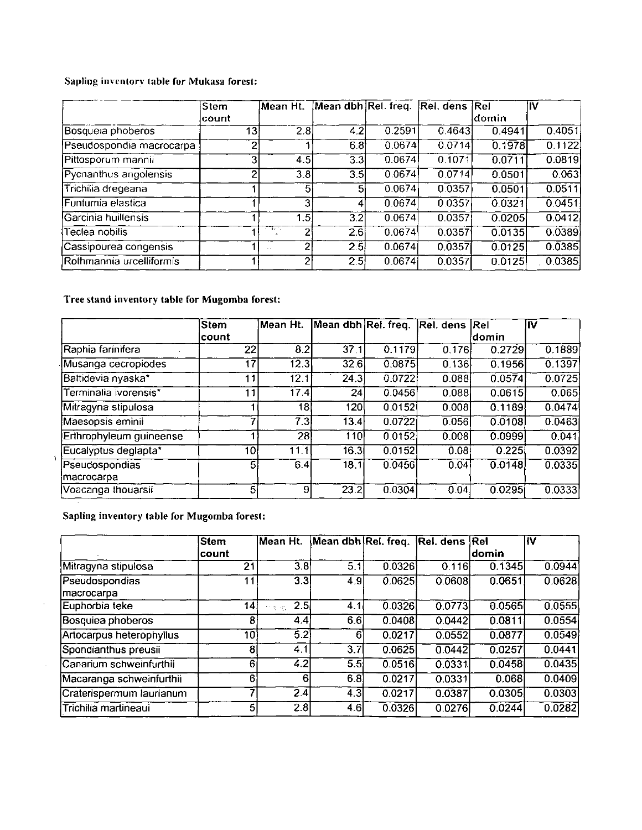## Sapling inventory table for Mukasa forest:

|                          | Stem   | lMean Ht.        | Mean dbh Rel. freq. |        | Rel. dens Rel |        | lIV    |
|--------------------------|--------|------------------|---------------------|--------|---------------|--------|--------|
|                          | ∣count |                  |                     |        |               | ldomin |        |
| Bosqueia phoberos        | 13     | 2.8              | 4.2                 | 0.2591 | 0.4643        | 0.4941 | 0.4051 |
| Pseudospondia macrocarpa | ኅ      |                  | 6.8                 | 0.0674 | 0.0714        | 0.1978 | 0.1122 |
| Pittosporum mannii       | 31     | 4.5              | 3.3                 | 0.0674 | 0.1071        | 0.0711 | 0.0819 |
| Pycnanthus angolensis    | ◠      | $\overline{3.8}$ | 3.5                 | 0.0674 | 0.0714        | 0.0501 | 0.063  |
| Trichilia dregeana       |        | 5                | 5                   | 0.0674 | 0.0357        | 0.0501 | 0.0511 |
| Funtumia elastica        |        | 31               |                     | 0.0674 | 0.0357        | 0.0321 | 0.0451 |
| Garcinia huillensis      |        | 1.5              | 3.2                 | 0.0674 | 0.0357        | 0.0205 | 0.0412 |
| Teclea nobilis           |        | राजस्थान<br>っ    | 2.6                 | 0.0674 | 0.0357        | 0.0135 | 0.0389 |
| Cassipourea congensis    |        | $\overline{2}$   | 2.5                 | 0.0674 | 0.0357        | 0.0125 | 0.0385 |
| Rothmannia urcelliformis |        | 2                | 2.5                 | 0.0674 | 0.0357        | 0.0125 | 0.0385 |

## Tree stand inventory table for Mugomba forest:

|                              | Stem           | Mean Ht.          | Mean dbh Rel. freq. |        | Rel. dens Rel |        | IM     |
|------------------------------|----------------|-------------------|---------------------|--------|---------------|--------|--------|
|                              | ∣count         |                   |                     |        |               | ldomin |        |
| Raphia farinifera            | 22             | 8.2               | 37.1                | 0.1179 | 0.176         | 0.2729 | 0.1889 |
| Musanga cecropiodes          | 17             | $\overline{12.3}$ | 32.6                | 0.0875 | 0.136         | 0.1956 | 0.1397 |
| Battidevia nyaska*           | 11             | 12.1              | 24.3                | 0.0722 | 0.088         | 0.0574 | 0.0725 |
| Terminalia ivorensis*        | 11             | 17.4              | 24                  | 0.0456 | 0.088         | 0.0615 | 0.065  |
| Mitragyna stipulosa          |                | 18                | 120                 | 0.0152 | 0.008         | 0.1189 | 0.0474 |
| Maesopsis eminii             | 7              | $\overline{7.3}$  | 13.4                | 0.0722 | 0.056         | 0.0108 | 0.0463 |
| Erthrophyleum guineense      |                | 28                | 110                 | 0.0152 | 0.008         | 0.0999 | 0.041  |
| Eucalyptus deglapta*         | 10             | 11.1              | 16.3                | 0.0152 | 0.08          | 0.225  | 0.0392 |
| Pseudospondias<br>macrocarpa | 5 <sub>1</sub> | 6.4               | 18.1                | 0.0456 | 0.04          | 0.0148 | 0.0335 |
| Voacanga thouarsii           | 5              | 91                | 23.2                | 0.0304 | 0.04          | 0.0295 | 0.0333 |

Sapling inventory table for Mugomba forest:

 $\hat{\theta}$ 

 $\sim$ 

|                              | lStem | Mean Ht.         | Mean dbh Rel. freq. Rel. dens |        |        | Rel    | llV                 |
|------------------------------|-------|------------------|-------------------------------|--------|--------|--------|---------------------|
|                              | count |                  |                               |        |        | ldomin |                     |
| Mitragyna stipulosa          | 21    | 3.8              | 5.1                           | 0.0326 | 0.116  | 0.1345 | 0.0944              |
| Pseudospondias<br>macrocarpa |       | 33               | 4.9                           | 0.0625 | 0.0608 | 0.0651 | 0.0628              |
| Euphorbia teke               | 14.   | 2.5<br>竹枝は加工     | 4.1                           | 0.0326 | 0.0773 | 0.0565 | 0.0555              |
| Bosquiea phoberos            | 8     | 4.4              | 6.6                           | 0.0408 | 0.0442 | 0.0811 | 0.0554              |
| Artocarpus heterophyllus     | 10)   | $\overline{5}$ 2 | 6                             | 0.0217 | 0.0552 | 0.0877 | $\overline{0.0549}$ |
| Spondianthus preusii         | 81    | 4.1              | 3.7                           | 0.0625 | 0.0442 | 0.0257 | 0.0441              |
| Canarium schweinfurthii      | 61    | 4.2              | 5.5 <sub>1</sub>              | 0.0516 | 0.0331 | 0.0458 | 0.0435              |
| Macaranga schweinfurthii     | 6     | 61               | 6.8                           | 0.0217 | 0.0331 | 0.068  | 0.0409              |
| Craterispermum laurianum     |       | 2.4              | $4.\overline{3}$              | 0.0217 | 0.0387 | 0.0305 | 0.0303              |
| Trichilia martineaui         | 51    | 2.8              | 4.6                           | 0.0326 | 0.0276 | 0.0244 | 0.0282              |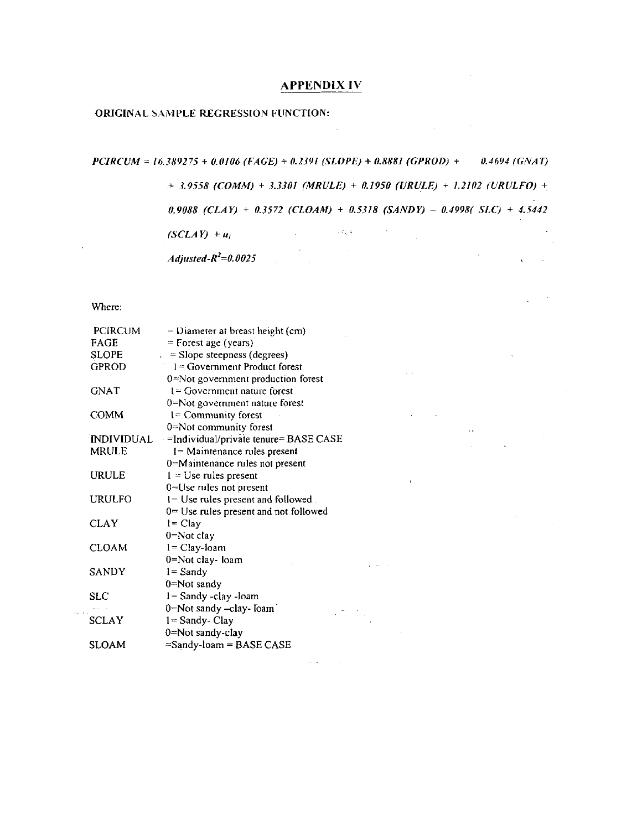### **APPENDIX IV**

#### ORIGINAL SAMPLE REGRESSION FUNCTION:

 $PCIRCUM = 16.389275 + 0.0106 (FAGE) + 0.2391 (SLOPE) + 0.8881 (GPROD) + 0.4694 (GNAT)$ 

 $\sim 10^{11}$ 

 $+$  3.9558 (COMM) + 3.3301 (MRULE) + 0.1950 (URULE) + 1.2102 (URULFO) +

 $\sim$ 

 $\mathcal{L}_{\text{max}}$  and  $\mathcal{L}_{\text{max}}$  . The  $\mathcal{L}_{\text{max}}$ 

0.9088 (CLAY) + 0.3572 (CLOAM) + 0.5318 (SANDY) - 0.4998( SLC) + 4.5442

**College** 

 $\mathbf{r}$ 

 $\sim 10^{-1}$ 

 $\sim 10^{11}$  and  $\sim 10^{11}$  m  $^{-1}$ 

 $\Delta \phi$  and  $\Delta \phi$  and

 $\mathcal{L}_{\mathbf{r}}$  $\Delta \sim 10^4$ 

 $\sim 200$ 

 $\sim 6\%$   $k_{\perp}$ 

 $\sim 100$  km  $^{-1}$ 

 $(SCLAY) + u_i$ 

Adjusted- $R^2=0.0025$ 

Where:

| <b>PCIRCUM</b>    | $=$ Diameter at breast height (cm)    |
|-------------------|---------------------------------------|
| FAGE              | $=$ Forest age (years)                |
| SLOPE             | $=$ Slope steepness (degrees)         |
| <b>GPROD</b>      | $l = Government Product forest$       |
|                   | 0=Not government production forest    |
| <b>GNAT</b>       | $l = Govemment nature$ forest         |
|                   | 0=Not government nature forest        |
| COMM              | $1 =$ Community forest                |
|                   | 0=Not community forest                |
| <b>INDIVIDUAL</b> | =Individual/private tenure= BASE CASE |
| <b>MRULE</b>      | = Maintenance rules present           |
|                   | 0=Maintenance rules not present       |
| URULE             | $l = Use$ rules present               |
|                   | $0 = Use$ rules not present           |
| URULFO            | 1= Use rules present and followed.    |
|                   | 0= Use rules present and not followed |
| <b>CLAY</b>       | $l = Clay$                            |
|                   | $0$ =Not clay                         |
| <b>CLOAM</b>      | $l = Clay$ -loam                      |
|                   | 0=Not clay-Ioam                       |
| SANDY             | $l =$ Sandy                           |
|                   | $0 = Not$ sandy                       |
| <b>SLC</b>        | $1 =$ Sandy -clay -loam               |
|                   | 0=Not sandy -clay- loam               |
| <b>SCLAY</b>      | $1 =$ Sandy-Clay                      |
|                   | 0=Not sandy-clay                      |
| SLOAM             | $=$ Sandy-loam = BASE CASE            |